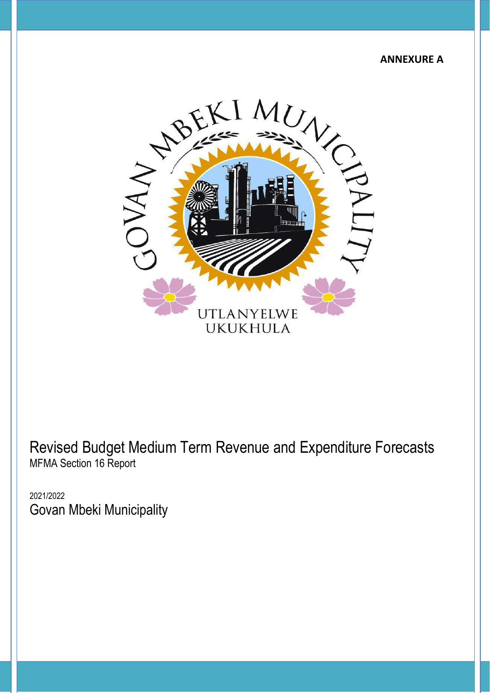

Revised Budget Medium Term Revenue and Expenditure Forecasts MFMA Section 16 Report

2021/2022 Govan Mbeki Municipality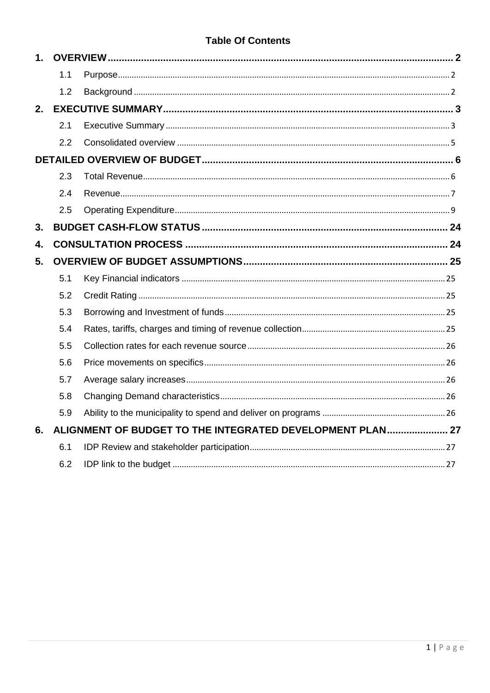# **Table Of Contents**

| 1 <sub>1</sub>            |     |                                                           |  |
|---------------------------|-----|-----------------------------------------------------------|--|
|                           | 1.1 |                                                           |  |
|                           | 1.2 |                                                           |  |
| 2.                        |     |                                                           |  |
|                           | 2.1 |                                                           |  |
|                           | 2.2 |                                                           |  |
|                           |     |                                                           |  |
|                           | 2.3 |                                                           |  |
|                           | 2.4 |                                                           |  |
|                           | 2.5 |                                                           |  |
| 3.                        |     |                                                           |  |
| $\overline{\mathbf{4}}$ . |     |                                                           |  |
| 5.                        |     |                                                           |  |
|                           | 5.1 |                                                           |  |
|                           | 5.2 |                                                           |  |
|                           | 5.3 |                                                           |  |
|                           | 5.4 |                                                           |  |
|                           | 5.5 |                                                           |  |
|                           | 5.6 |                                                           |  |
|                           | 5.7 |                                                           |  |
|                           | 5.8 |                                                           |  |
|                           | 5.9 |                                                           |  |
| 6.                        |     |                                                           |  |
|                           |     | ALIGNMENT OF BUDGET TO THE INTEGRATED DEVELOPMENT PLAN 27 |  |
|                           | 6.1 |                                                           |  |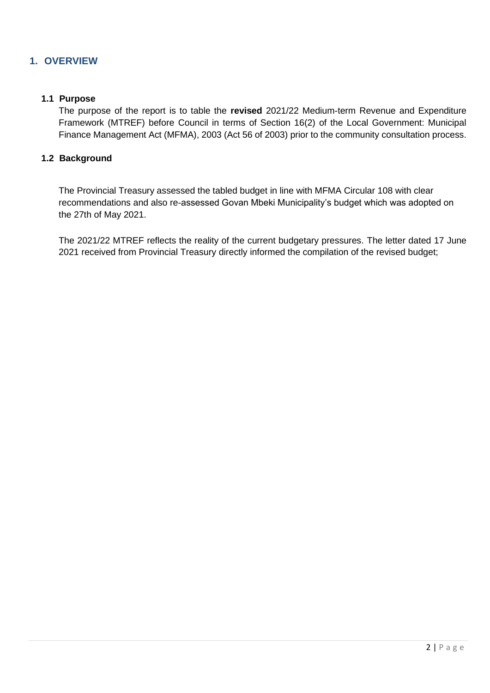# <span id="page-2-0"></span>**1. OVERVIEW**

## <span id="page-2-1"></span>**1.1 Purpose**

The purpose of the report is to table the **revised** 2021/22 Medium-term Revenue and Expenditure Framework (MTREF) before Council in terms of Section 16(2) of the Local Government: Municipal Finance Management Act (MFMA), 2003 (Act 56 of 2003) prior to the community consultation process.

## <span id="page-2-2"></span>**1.2 Background**

The Provincial Treasury assessed the tabled budget in line with MFMA Circular 108 with clear recommendations and also re-assessed Govan Mbeki Municipality's budget which was adopted on the 27th of May 2021.

The 2021/22 MTREF reflects the reality of the current budgetary pressures. The letter dated 17 June 2021 received from Provincial Treasury directly informed the compilation of the revised budget;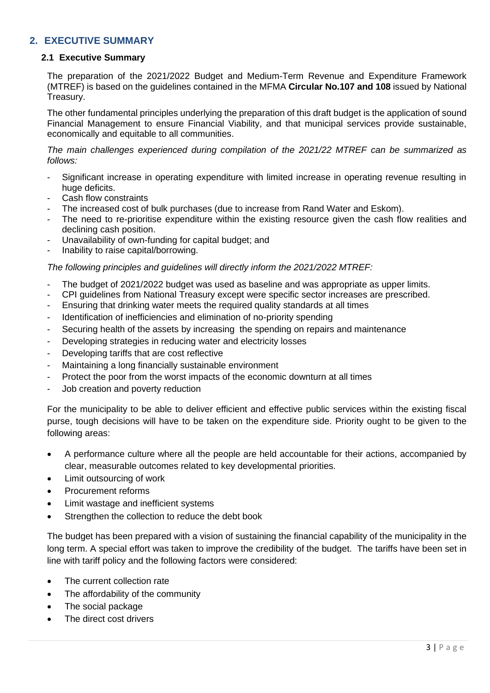# <span id="page-3-0"></span>**2. EXECUTIVE SUMMARY**

#### <span id="page-3-1"></span>**2.1 Executive Summary**

The preparation of the 2021/2022 Budget and Medium-Term Revenue and Expenditure Framework (MTREF) is based on the guidelines contained in the MFMA **Circular No.107 and 108** issued by National Treasury.

The other fundamental principles underlying the preparation of this draft budget is the application of sound Financial Management to ensure Financial Viability, and that municipal services provide sustainable, economically and equitable to all communities.

*The main challenges experienced during compilation of the 2021/22 MTREF can be summarized as follows:*

- Significant increase in operating expenditure with limited increase in operating revenue resulting in huge deficits.
- Cash flow constraints
- The increased cost of bulk purchases (due to increase from Rand Water and Eskom).
- The need to re-prioritise expenditure within the existing resource given the cash flow realities and declining cash position.
- Unavailability of own-funding for capital budget; and
- Inability to raise capital/borrowing.

#### *The following principles and guidelines will directly inform the 2021/2022 MTREF:*

- The budget of 2021/2022 budget was used as baseline and was appropriate as upper limits.
- CPI guidelines from National Treasury except were specific sector increases are prescribed.
- Ensuring that drinking water meets the required quality standards at all times
- Identification of inefficiencies and elimination of no-priority spending
- Securing health of the assets by increasing the spending on repairs and maintenance
- Developing strategies in reducing water and electricity losses
- Developing tariffs that are cost reflective
- Maintaining a long financially sustainable environment
- Protect the poor from the worst impacts of the economic downturn at all times
- Job creation and poverty reduction

For the municipality to be able to deliver efficient and effective public services within the existing fiscal purse, tough decisions will have to be taken on the expenditure side. Priority ought to be given to the following areas:

- A performance culture where all the people are held accountable for their actions, accompanied by clear, measurable outcomes related to key developmental priorities.
- Limit outsourcing of work
- Procurement reforms
- Limit wastage and inefficient systems
- Strengthen the collection to reduce the debt book

The budget has been prepared with a vision of sustaining the financial capability of the municipality in the long term. A special effort was taken to improve the credibility of the budget. The tariffs have been set in line with tariff policy and the following factors were considered:

- The current collection rate
- The affordability of the community
- The social package
- The direct cost drivers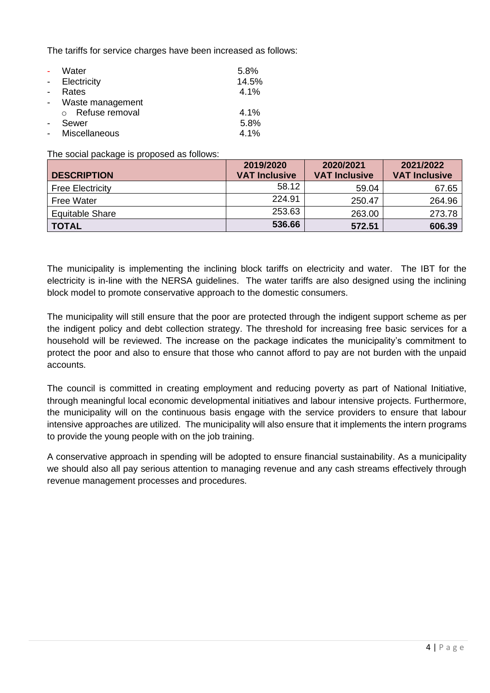The tariffs for service charges have been increased as follows:

| Water              | 5.8%    |
|--------------------|---------|
| - Electricity      | 14.5%   |
| Rates              | 4.1%    |
| - Waste management |         |
| Refuse removal     | 4.1%    |
| Sewer              | 5.8%    |
| Miscellaneous      | $4.1\%$ |

The social package is proposed as follows:

| <b>DESCRIPTION</b>      | 2019/2020<br><b>VAT Inclusive</b> | 2020/2021<br><b>VAT Inclusive</b> | 2021/2022<br><b>VAT Inclusive</b> |
|-------------------------|-----------------------------------|-----------------------------------|-----------------------------------|
| <b>Free Electricity</b> | 58.12                             | 59.04                             | 67.65                             |
| <b>Free Water</b>       | 224.91                            | 250.47                            | 264.96                            |
| <b>Equitable Share</b>  | 253.63                            | 263.00                            | 273.78                            |
| <b>TOTAL</b>            | 536.66                            | 572.51                            | 606.39                            |

The municipality is implementing the inclining block tariffs on electricity and water. The IBT for the electricity is in-line with the NERSA guidelines. The water tariffs are also designed using the inclining block model to promote conservative approach to the domestic consumers.

The municipality will still ensure that the poor are protected through the indigent support scheme as per the indigent policy and debt collection strategy. The threshold for increasing free basic services for a household will be reviewed. The increase on the package indicates the municipality's commitment to protect the poor and also to ensure that those who cannot afford to pay are not burden with the unpaid accounts.

The council is committed in creating employment and reducing poverty as part of National Initiative, through meaningful local economic developmental initiatives and labour intensive projects. Furthermore, the municipality will on the continuous basis engage with the service providers to ensure that labour intensive approaches are utilized. The municipality will also ensure that it implements the intern programs to provide the young people with on the job training.

A conservative approach in spending will be adopted to ensure financial sustainability. As a municipality we should also all pay serious attention to managing revenue and any cash streams effectively through revenue management processes and procedures.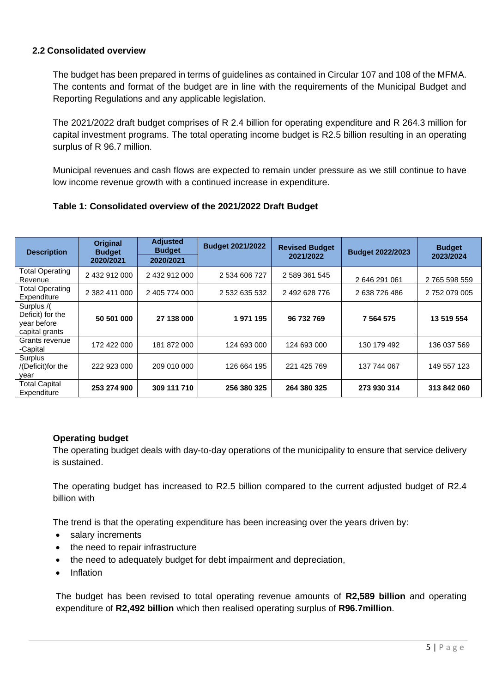## <span id="page-5-0"></span>**2.2 Consolidated overview**

The budget has been prepared in terms of guidelines as contained in Circular 107 and 108 of the MFMA. The contents and format of the budget are in line with the requirements of the Municipal Budget and Reporting Regulations and any applicable legislation.

The 2021/2022 draft budget comprises of R 2.4 billion for operating expenditure and R 264.3 million for capital investment programs. The total operating income budget is R2.5 billion resulting in an operating surplus of R 96.7 million.

Municipal revenues and cash flows are expected to remain under pressure as we still continue to have low income revenue growth with a continued increase in expenditure.

| <b>Description</b>                                              | <b>Original</b><br><b>Budget</b><br>2020/2021 | <b>Adjusted</b><br><b>Budget</b><br>2020/2021 | <b>Budget 2021/2022</b> | <b>Revised Budget</b><br>2021/2022 | <b>Budget 2022/2023</b> | <b>Budget</b><br>2023/2024 |
|-----------------------------------------------------------------|-----------------------------------------------|-----------------------------------------------|-------------------------|------------------------------------|-------------------------|----------------------------|
| <b>Total Operating</b><br>Revenue                               | 2 432 912 000                                 | 2 432 912 000                                 | 2 534 606 727           | 2 589 361 545                      | 2 646 291 061           | 2 765 598 559              |
| <b>Total Operating</b><br>Expenditure                           | 2 382 411 000                                 | 2 405 774 000                                 | 2 532 635 532           | 2 492 628 776                      | 2 638 726 486           | 2752079005                 |
| Surplus /(<br>Deficit) for the<br>year before<br>capital grants | 50 501 000                                    | 27 138 000                                    | 1971195                 | 96 732 769                         | 7 5 64 5 7 5            | 13 519 554                 |
| Grants revenue<br>-Capital                                      | 172 422 000                                   | 181 872 000                                   | 124 693 000             | 124 693 000                        | 130 179 492             | 136 037 569                |
| Surplus<br>$/$ (Deficit) for the<br>vear                        | 222 923 000                                   | 209 010 000                                   | 126 664 195             | 221 425 769                        | 137 744 067             | 149 557 123                |
| <b>Total Capital</b><br>Expenditure                             | 253 274 900                                   | 309 111 710                                   | 256 380 325             | 264 380 325                        | 273 930 314             | 313 842 060                |

## **Table 1: Consolidated overview of the 2021/2022 Draft Budget**

## **Operating budget**

The operating budget deals with day-to-day operations of the municipality to ensure that service delivery is sustained.

The operating budget has increased to R2.5 billion compared to the current adjusted budget of R2.4 billion with

The trend is that the operating expenditure has been increasing over the years driven by:

- salary increments
- the need to repair infrastructure
- the need to adequately budget for debt impairment and depreciation,
- **Inflation**

The budget has been revised to total operating revenue amounts of **R2,589 billion** and operating expenditure of **R2,492 billion** which then realised operating surplus of **R96.7million**.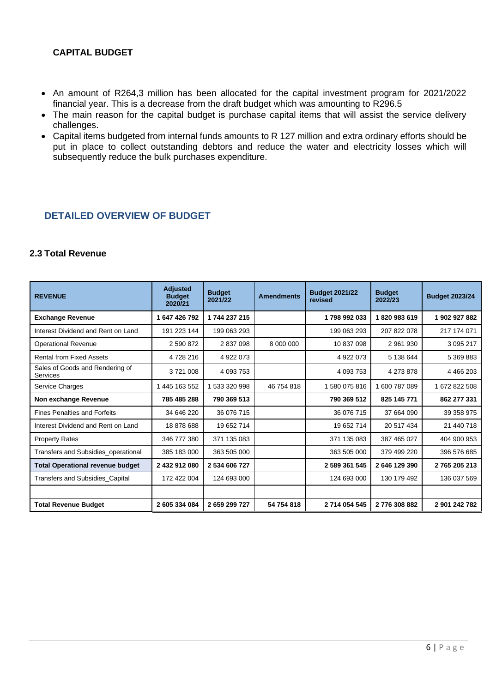## **CAPITAL BUDGET**

- An amount of R264,3 million has been allocated for the capital investment program for 2021/2022 financial year. This is a decrease from the draft budget which was amounting to R296.5
- The main reason for the capital budget is purchase capital items that will assist the service delivery challenges.
- Capital items budgeted from internal funds amounts to R 127 million and extra ordinary efforts should be put in place to collect outstanding debtors and reduce the water and electricity losses which will subsequently reduce the bulk purchases expenditure.

# <span id="page-6-0"></span>**DETAILED OVERVIEW OF BUDGET**

#### <span id="page-6-1"></span>**2.3 Total Revenue**

| <b>REVENUE</b>                              | <b>Adjusted</b><br><b>Budget</b><br>2020/21 | <b>Budget</b><br>2021/22 | <b>Amendments</b> | <b>Budget 2021/22</b><br>revised | <b>Budget</b><br>2022/23 | <b>Budget 2023/24</b> |
|---------------------------------------------|---------------------------------------------|--------------------------|-------------------|----------------------------------|--------------------------|-----------------------|
| <b>Exchange Revenue</b>                     | 1 647 426 792                               | 1744 237 215             |                   | 1798992033                       | 1820983619               | 1902927882            |
| Interest Dividend and Rent on Land          | 191 223 144                                 | 199 063 293              |                   | 199 063 293                      | 207 822 078              | 217 174 071           |
| <b>Operational Revenue</b>                  | 2 590 872                                   | 2 837 098                | 8 000 000         | 10 837 098                       | 2 961 930                | 3 0 9 5 2 1 7         |
| <b>Rental from Fixed Assets</b>             | 4728216                                     | 4 922 073                |                   | 4 922 073                        | 5 138 644                | 5 369 883             |
| Sales of Goods and Rendering of<br>Services | 3721008                                     | 4 093 753                |                   | 4 093 753                        | 4 273 878                | 4 4 6 20 3            |
| Service Charges                             | 1 445 163 552                               | 1 533 320 998            | 46 754 818        | 1580 075 816                     | 1 600 787 089            | 1 672 822 508         |
| Non exchange Revenue                        | 785 485 288                                 | 790 369 513              |                   | 790 369 512                      | 825 145 771              | 862 277 331           |
| <b>Fines Penalties and Forfeits</b>         | 34 646 220                                  | 36 076 715               |                   | 36 076 715                       | 37 664 090               | 39 358 975            |
| Interest Dividend and Rent on Land          | 18 878 688                                  | 19 652 714               |                   | 19 652 714                       | 20 517 434               | 21 440 718            |
| <b>Property Rates</b>                       | 346 777 380                                 | 371 135 083              |                   | 371 135 083                      | 387 465 027              | 404 900 953           |
| Transfers and Subsidies_operational         | 385 183 000                                 | 363 505 000              |                   | 363 505 000                      | 379 499 220              | 396 576 685           |
| <b>Total Operational revenue budget</b>     | 2 432 912 080                               | 2 534 606 727            |                   | 2 589 361 545                    | 2646129390               | 2765205213            |
| Transfers and Subsidies_Capital             | 172 422 004                                 | 124 693 000              |                   | 124 693 000                      | 130 179 492              | 136 037 569           |
|                                             |                                             |                          |                   |                                  |                          |                       |
| <b>Total Revenue Budget</b>                 | 2 605 334 084                               | 2 659 299 727            | 54 754 818        | 2 714 054 545                    | 2776 308 882             | 2 901 242 782         |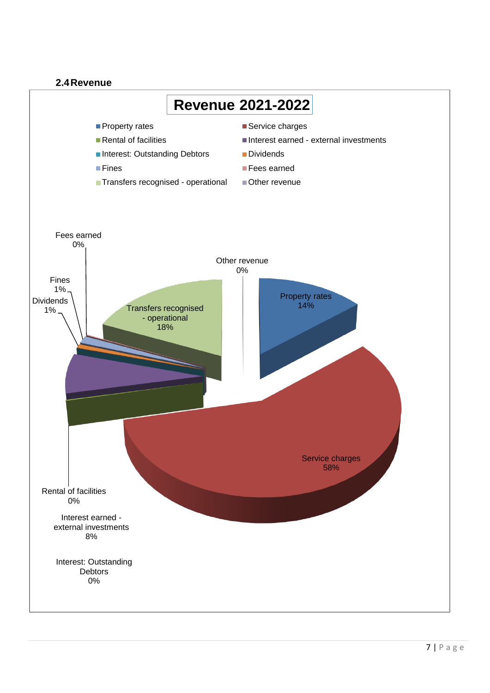# **2.4Revenue**

<span id="page-7-0"></span>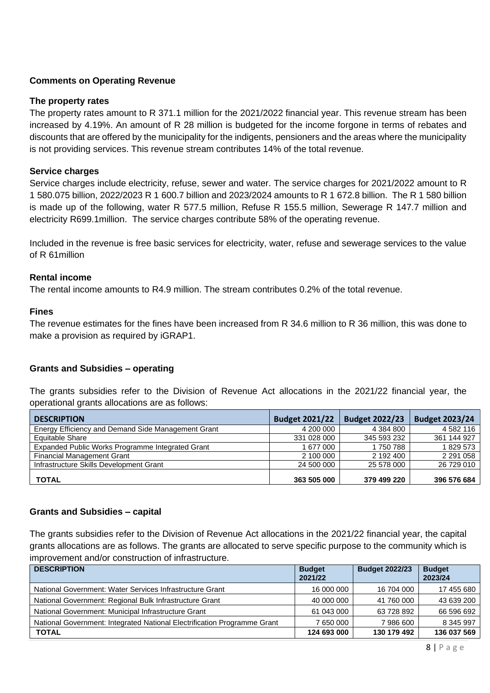## **Comments on Operating Revenue**

#### **The property rates**

The property rates amount to R 371.1 million for the 2021/2022 financial year. This revenue stream has been increased by 4.19%. An amount of R 28 million is budgeted for the income forgone in terms of rebates and discounts that are offered by the municipality for the indigents, pensioners and the areas where the municipality is not providing services. This revenue stream contributes 14% of the total revenue.

#### **Service charges**

Service charges include electricity, refuse, sewer and water. The service charges for 2021/2022 amount to R 1 580.075 billion, 2022/2023 R 1 600.7 billion and 2023/2024 amounts to R 1 672.8 billion. The R 1 580 billion is made up of the following, water R 577.5 million, Refuse R 155.5 million, Sewerage R 147.7 million and electricity R699.1million. The service charges contribute 58% of the operating revenue.

Included in the revenue is free basic services for electricity, water, refuse and sewerage services to the value of R 61million

#### **Rental income**

The rental income amounts to R4.9 million. The stream contributes 0.2% of the total revenue.

#### **Fines**

The revenue estimates for the fines have been increased from R 34.6 million to R 36 million, this was done to make a provision as required by iGRAP1.

#### **Grants and Subsidies – operating**

The grants subsidies refer to the Division of Revenue Act allocations in the 2021/22 financial year, the operational grants allocations are as follows:

| <b>DESCRIPTION</b>                                 | <b>Budget 2021/22</b> | <b>Budget 2022/23</b> | <b>Budget 2023/24</b> |
|----------------------------------------------------|-----------------------|-----------------------|-----------------------|
| Energy Efficiency and Demand Side Management Grant | 4 200 000             | 4 384 800             | 4 5 8 2 1 1 6         |
| Equitable Share                                    | 331 028 000           | 345 593 232           | 361 144 927           |
| Expanded Public Works Programme Integrated Grant   | 1 677 000             | 1750788               | 1829573               |
| <b>Financial Management Grant</b>                  | 2 100 000             | 2 192 400             | 2 2 9 1 0 5 8         |
| Infrastructure Skills Development Grant            | 24 500 000            | 25 578 000            | 26 729 010            |
| <b>TOTAL</b>                                       | 363 505 000           | 379 499 220           | 396 576 684           |

#### **Grants and Subsidies – capital**

The grants subsidies refer to the Division of Revenue Act allocations in the 2021/22 financial year, the capital grants allocations are as follows. The grants are allocated to serve specific purpose to the community which is improvement and/or construction of infrastructure.

| <b>DESCRIPTION</b>                                                       | <b>Budget</b><br>2021/22 | <b>Budget 2022/23</b> | <b>Budget</b><br>2023/24 |
|--------------------------------------------------------------------------|--------------------------|-----------------------|--------------------------|
| National Government: Water Services Infrastructure Grant                 | 16 000 000               | 16 704 000            | 17 455 680               |
| National Government: Regional Bulk Infrastructure Grant                  | 40 000 000               | 41 760 000            | 43 639 200               |
| National Government: Municipal Infrastructure Grant                      | 61 043 000               | 63 728 892            | 66 596 692               |
| National Government: Integrated National Electrification Programme Grant | 7 650 000                | 7986600               | 8 345 997                |
| <b>TOTAL</b>                                                             | 124 693 000              | 130 179 492           | 136 037 569              |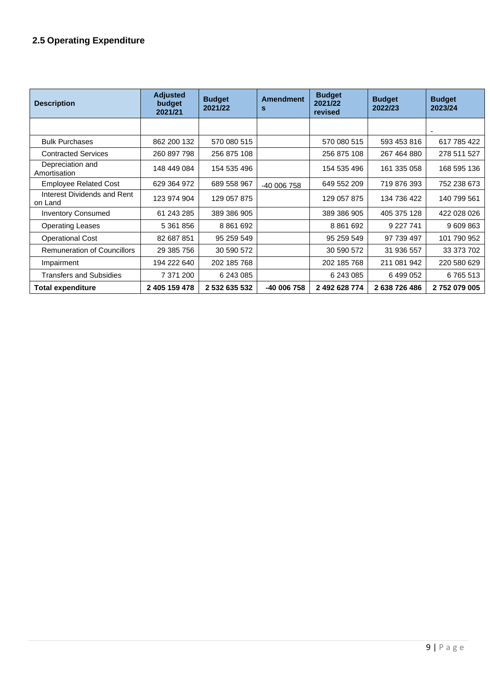<span id="page-9-0"></span>

| <b>Description</b>                     | <b>Adjusted</b><br>budget<br>2021/21 | <b>Budget</b><br>2021/22 | <b>Amendment</b><br>s | <b>Budget</b><br>2021/22<br>revised | <b>Budget</b><br>2022/23 | <b>Budget</b><br>2023/24 |
|----------------------------------------|--------------------------------------|--------------------------|-----------------------|-------------------------------------|--------------------------|--------------------------|
|                                        |                                      |                          |                       |                                     |                          |                          |
| <b>Bulk Purchases</b>                  | 862 200 132                          | 570 080 515              |                       | 570 080 515                         | 593 453 816              | 617 785 422              |
| <b>Contracted Services</b>             | 260 897 798                          | 256 875 108              |                       | 256 875 108                         | 267 464 880              | 278 511 527              |
| Depreciation and<br>Amortisation       | 148 449 084                          | 154 535 496              |                       | 154 535 496                         | 161 335 058              | 168 595 136              |
| <b>Employee Related Cost</b>           | 629 364 972                          | 689 558 967              | -40 006 758           | 649 552 209                         | 719 876 393              | 752 238 673              |
| Interest Dividends and Rent<br>on Land | 123 974 904                          | 129 057 875              |                       | 129 057 875                         | 134 736 422              | 140 799 561              |
| <b>Inventory Consumed</b>              | 61 243 285                           | 389 386 905              |                       | 389 386 905                         | 405 375 128              | 422 028 026              |
| <b>Operating Leases</b>                | 5 361 856                            | 8 8 6 1 6 9 2            |                       | 8 8 6 1 6 9 2                       | 9 227 741                | 9 609 863                |
| <b>Operational Cost</b>                | 82 687 851                           | 95 259 549               |                       | 95 259 549                          | 97 739 497               | 101 790 952              |
| <b>Remuneration of Councillors</b>     | 29 385 756                           | 30 590 572               |                       | 30 590 572                          | 31 936 557               | 33 373 702               |
| Impairment                             | 194 222 640                          | 202 185 768              |                       | 202 185 768                         | 211 081 942              | 220 580 629              |
| <b>Transfers and Subsidies</b>         | 7 371 200                            | 6 243 085                |                       | 6 243 085                           | 6499052                  | 6765513                  |
| <b>Total expenditure</b>               | 2 405 159 478                        | 2 532 635 532            | -40 006 758           | 2 492 628 774                       | 2638726486               | 2752079005               |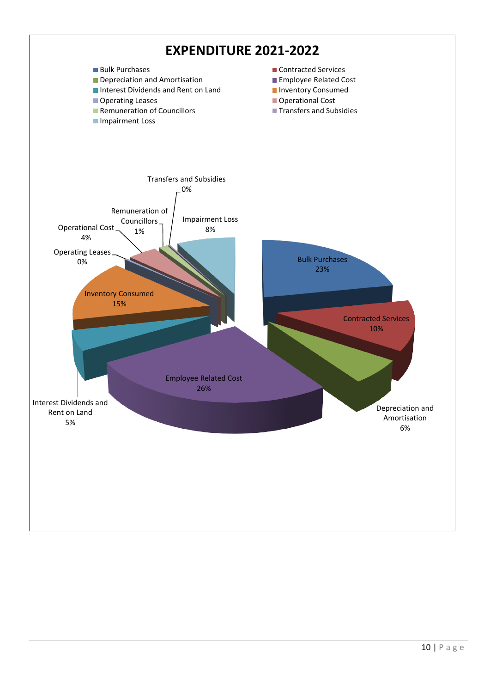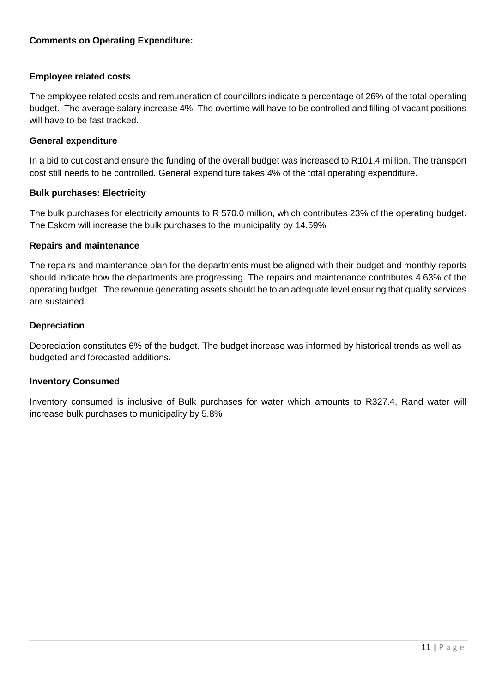## **Comments on Operating Expenditure:**

#### **Employee related costs**

The employee related costs and remuneration of councillors indicate a percentage of 26% of the total operating budget. The average salary increase 4%. The overtime will have to be controlled and filling of vacant positions will have to be fast tracked.

#### **General expenditure**

In a bid to cut cost and ensure the funding of the overall budget was increased to R101.4 million. The transport cost still needs to be controlled. General expenditure takes 4% of the total operating expenditure.

#### **Bulk purchases: Electricity**

The bulk purchases for electricity amounts to R 570.0 million, which contributes 23% of the operating budget. The Eskom will increase the bulk purchases to the municipality by 14.59%

#### **Repairs and maintenance**

The repairs and maintenance plan for the departments must be aligned with their budget and monthly reports should indicate how the departments are progressing. The repairs and maintenance contributes 4.63% of the operating budget. The revenue generating assets should be to an adequate level ensuring that quality services are sustained.

#### **Depreciation**

Depreciation constitutes 6% of the budget. The budget increase was informed by historical trends as well as budgeted and forecasted additions.

#### **Inventory Consumed**

Inventory consumed is inclusive of Bulk purchases for water which amounts to R327.4, Rand water will increase bulk purchases to municipality by 5.8%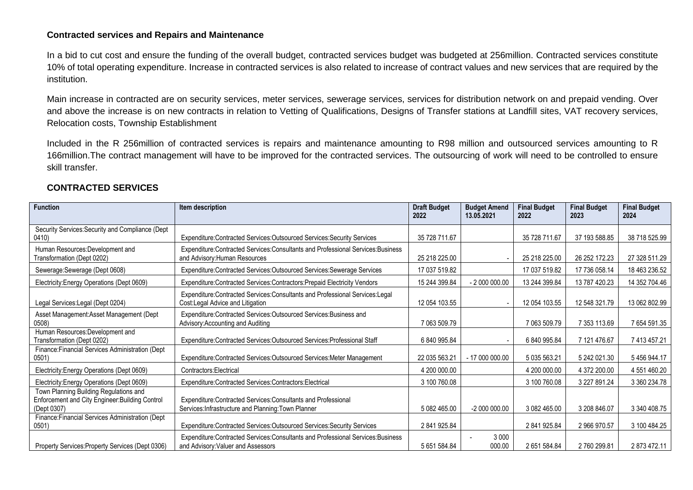#### **Contracted services and Repairs and Maintenance**

In a bid to cut cost and ensure the funding of the overall budget, contracted services budget was budgeted at 256million. Contracted services constitute 10% of total operating expenditure. Increase in contracted services is also related to increase of contract values and new services that are required by the institution.

Main increase in contracted are on security services, meter services, sewerage services, services for distribution network on and prepaid vending. Over and above the increase is on new contracts in relation to Vetting of Qualifications, Designs of Transfer stations at Landfill sites, VAT recovery services, Relocation costs, Township Establishment

Included in the R 256million of contracted services is repairs and maintenance amounting to R98 million and outsourced services amounting to R 166million.The contract management will have to be improved for the contracted services. The outsourcing of work will need to be controlled to ensure skill transfer.

# **CONTRACTED SERVICES**

| <b>Function</b>                                                                                          | Item description                                                                                                     | <b>Draft Budget</b><br>2022 | <b>Budget Amend</b><br>13.05.2021 | <b>Final Budget</b><br>2022 | <b>Final Budget</b><br>2023 | <b>Final Budget</b><br>2024 |
|----------------------------------------------------------------------------------------------------------|----------------------------------------------------------------------------------------------------------------------|-----------------------------|-----------------------------------|-----------------------------|-----------------------------|-----------------------------|
| Security Services: Security and Compliance (Dept                                                         |                                                                                                                      |                             |                                   |                             |                             |                             |
| 0410)                                                                                                    | Expenditure:Contracted Services:Outsourced Services:Security Services                                                | 35 728 711.67               |                                   | 35 728 711.67               | 37 193 588.85               | 38 718 525.99               |
| Human Resources: Development and<br>Transformation (Dept 0202)                                           | Expenditure:Contracted Services:Consultants and Professional Services:Business<br>and Advisory: Human Resources      | 25 218 225.00               |                                   | 25 218 225.00               | 26 252 172.23               | 27 328 511.29               |
| Sewerage: Sewerage (Dept 0608)                                                                           | Expenditure:Contracted Services:Outsourced Services:Sewerage Services                                                | 17 037 519.82               |                                   | 17 037 519.82               | 17 736 058.14               | 18 463 236.52               |
| Electricity: Energy Operations (Dept 0609)                                                               | Expenditure:Contracted Services:Contractors:Prepaid Electricity Vendors                                              | 15 244 399.84               | $-2000000.00$                     | 13 244 399.84               | 13 787 420.23               | 14 352 704.46               |
| Legal Services: Legal (Dept 0204)                                                                        | Expenditure:Contracted Services:Consultants and Professional Services:Legal<br>Cost:Legal Advice and Litigation      | 12 054 103.55               |                                   | 12 054 103.55               | 12 548 321.79               | 13 062 802.99               |
| Asset Management: Asset Management (Dept<br>0508)                                                        | Expenditure:Contracted Services:Outsourced Services:Business and<br>Advisory: Accounting and Auditing                | 7 063 509.79                |                                   | 7 063 509.79                | 7 353 113.69                | 7 654 591.35                |
| Human Resources: Development and<br>Transformation (Dept 0202)                                           | Expenditure:Contracted Services:Outsourced Services:Professional Staff                                               | 6 840 995.84                |                                   | 6 840 995.84                | 7 121 476.67                | 7 413 457.21                |
| Finance: Financial Services Administration (Dept<br>0501)                                                | Expenditure:Contracted Services:Outsourced Services:Meter Management                                                 | 22 035 563.21               | $-17000000000$                    | 5 035 563.21                | 5 242 021.30                | 5 456 944.17                |
| Electricity: Energy Operations (Dept 0609)                                                               | Contractors: Electrical                                                                                              | 4 200 000.00                |                                   | 4 200 000.00                | 4 372 200.00                | 4 551 460.20                |
| Electricity: Energy Operations (Dept 0609)                                                               | Expenditure:Contracted Services:Contractors:Electrical                                                               | 3 100 760.08                |                                   | 3 100 760.08                | 3 227 891.24                | 3 360 234.78                |
| Town Planning Building Regulations and<br>Enforcement and City Engineer: Building Control<br>(Dept 0307) | Expenditure:Contracted Services:Consultants and Professional<br>Services: Infrastructure and Planning: Town Planner  | 5 082 465.00                | -2 000 000.00                     | 3 082 465.00                | 3 208 846.07                | 3 340 408.75                |
| Finance: Financial Services Administration (Dept<br>0501)                                                | Expenditure:Contracted Services:Outsourced Services:Security Services                                                | 2 841 925.84                |                                   | 2 841 925.84                | 2 966 970.57                | 3 100 484.25                |
| Property Services: Property Services (Dept 0306)                                                         | Expenditure:Contracted Services:Consultants and Professional Services:Business<br>and Advisory: Valuer and Assessors | 5 651 584.84                | 3 0 0 0<br>000.00                 | 2 651 584.84                | 2760 299.81                 | 2873472.11                  |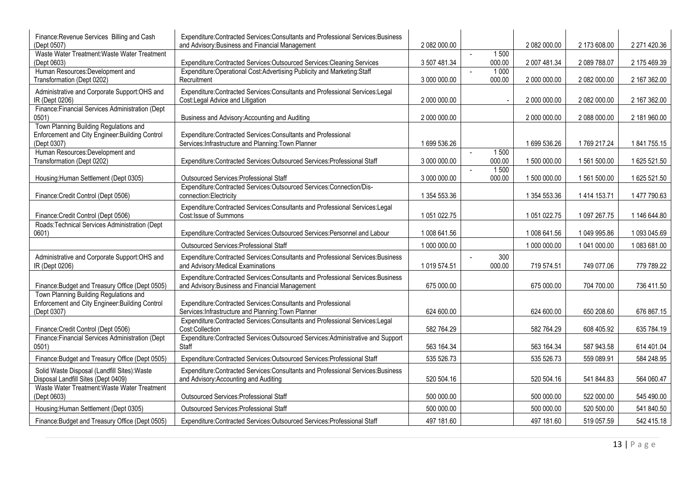| Finance: Revenue Services Billing and Cash<br>(Dept 0507)                                                | Expenditure:Contracted Services:Consultants and Professional Services:Business<br>and Advisory: Business and Financial Management | 2 082 000.00 |                                  | 2 082 000.00 | 2 173 608.00 | 2 271 420.36 |
|----------------------------------------------------------------------------------------------------------|-----------------------------------------------------------------------------------------------------------------------------------|--------------|----------------------------------|--------------|--------------|--------------|
| Waste Water Treatment: Waste Water Treatment<br>(Dept 0603)                                              | Expenditure:Contracted Services:Outsourced Services:Cleaning Services                                                             | 3 507 481.34 | 1500<br>000.00                   | 2 007 481.34 | 2 089 788.07 | 2 175 469.39 |
| Human Resources: Development and<br>Transformation (Dept 0202)                                           | Expenditure: Operational Cost: Advertising Publicity and Marketing: Staff<br>Recruitment                                          | 3 000 000.00 | 1 0 0 0<br>000.00                | 2 000 000.00 | 2 082 000.00 | 2 167 362.00 |
| Administrative and Corporate Support:OHS and<br>IR (Dept 0206)                                           | Expenditure:Contracted Services:Consultants and Professional Services:Legal<br>Cost:Legal Advice and Litigation                   | 2 000 000.00 |                                  | 2 000 000.00 | 2 082 000.00 | 2 167 362.00 |
| Finance: Financial Services Administration (Dept<br>0501)                                                | Business and Advisory: Accounting and Auditing                                                                                    | 2 000 000.00 |                                  | 2 000 000.00 | 2 088 000.00 | 2 181 960.00 |
| Town Planning Building Regulations and<br>Enforcement and City Engineer: Building Control<br>(Dept 0307) | Expenditure:Contracted Services:Consultants and Professional<br>Services: Infrastructure and Planning: Town Planner               | 1 699 536.26 |                                  | 1699 536.26  | 1769 217.24  | 1841755.15   |
| Human Resources: Development and<br>Transformation (Dept 0202)                                           | Expenditure:Contracted Services:Outsourced Services:Professional Staff                                                            | 3 000 000.00 | 1500<br>$\sim$<br>000.00         | 1 500 000.00 | 1561500.00   | 1 625 521.50 |
| Housing: Human Settlement (Dept 0305)                                                                    | Outsourced Services: Professional Staff                                                                                           | 3 000 000.00 | 1500<br>$\mathbb{Z}^2$<br>000.00 | 1 500 000.00 | 1561500.00   | 1625 521.50  |
| Finance: Credit Control (Dept 0506)                                                                      | Expenditure:Contracted Services:Outsourced Services:Connection/Dis-<br>connection:Electricity                                     | 1 354 553.36 |                                  | 1 354 553.36 | 1 414 153.71 | 1 477 790.63 |
| Finance: Credit Control (Dept 0506)                                                                      | Expenditure:Contracted Services:Consultants and Professional Services:Legal<br>Cost: Issue of Summons                             | 1 051 022.75 |                                  | 1 051 022.75 | 1 097 267.75 | 1 146 644.80 |
| Roads: Technical Services Administration (Dept<br>0601)                                                  | Expenditure:Contracted Services:Outsourced Services:Personnel and Labour                                                          | 1 008 641.56 |                                  | 1 008 641.56 | 1 049 995.86 | 1 093 045.69 |
|                                                                                                          | Outsourced Services: Professional Staff                                                                                           | 1 000 000.00 |                                  | 1 000 000.00 | 1 041 000.00 | 1 083 681.00 |
| Administrative and Corporate Support:OHS and<br>IR (Dept 0206)                                           | Expenditure:Contracted Services:Consultants and Professional Services:Business<br>and Advisory: Medical Examinations              | 1 019 574.51 | 300<br>000.00                    | 719 574.51   | 749 077.06   | 779 789.22   |
| Finance: Budget and Treasury Office (Dept 0505)                                                          | Expenditure:Contracted Services:Consultants and Professional Services:Business<br>and Advisory: Business and Financial Management | 675 000.00   |                                  | 675 000.00   | 704 700.00   | 736 411.50   |
| Town Planning Building Regulations and<br>Enforcement and City Engineer: Building Control<br>(Dept 0307) | Expenditure:Contracted Services:Consultants and Professional<br>Services: Infrastructure and Planning: Town Planner               | 624 600.00   |                                  | 624 600.00   | 650 208.60   | 676 867.15   |
| Finance: Credit Control (Dept 0506)                                                                      | Expenditure:Contracted Services:Consultants and Professional Services:Legal<br>Cost:Collection                                    | 582 764.29   |                                  | 582 764.29   | 608 405.92   | 635 784.19   |
| Finance: Financial Services Administration (Dept<br>0501)                                                | Expenditure:Contracted Services:Outsourced Services:Administrative and Support<br>Staff                                           | 563 164.34   |                                  | 563 164.34   | 587 943.58   | 614 401.04   |
| Finance: Budget and Treasury Office (Dept 0505)                                                          | Expenditure:Contracted Services:Outsourced Services:Professional Staff                                                            | 535 526.73   |                                  | 535 526.73   | 559 089.91   | 584 248.95   |
| Solid Waste Disposal (Landfill Sites): Waste<br>Disposal Landfill Sites (Dept 0409)                      | Expenditure:Contracted Services:Consultants and Professional Services:Business<br>and Advisory: Accounting and Auditing           | 520 504.16   |                                  | 520 504.16   | 541 844.83   | 564 060.47   |
| Waste Water Treatment: Waste Water Treatment<br>(Dept 0603)                                              | Outsourced Services: Professional Staff                                                                                           | 500 000.00   |                                  | 500 000.00   | 522 000.00   | 545 490.00   |
| Housing: Human Settlement (Dept 0305)                                                                    | Outsourced Services: Professional Staff                                                                                           | 500 000.00   |                                  | 500 000.00   | 520 500.00   | 541 840.50   |
| Finance: Budget and Treasury Office (Dept 0505)                                                          | Expenditure:Contracted Services:Outsourced Services:Professional Staff                                                            | 497 181.60   |                                  | 497 181.60   | 519 057.59   | 542 415.18   |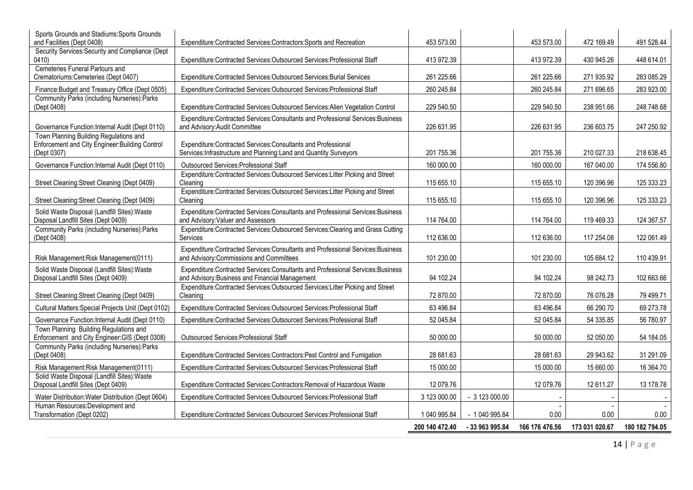| Sports Grounds and Stadiums: Sports Grounds<br>and Facilities (Dept 0408)                                | Expenditure:Contracted Services:Contractors:Sports and Recreation                                                                  | 453 573.00     |                | 453 573.00     | 472 169.49     | 491 528.44     |
|----------------------------------------------------------------------------------------------------------|------------------------------------------------------------------------------------------------------------------------------------|----------------|----------------|----------------|----------------|----------------|
| Security Services: Security and Compliance (Dept<br>0410)                                                | Expenditure:Contracted Services:Outsourced Services:Professional Staff                                                             | 413 972.39     |                | 413 972.39     | 430 945.26     | 448 614.01     |
| Cemeteries Funeral Parlours and<br>Crematoriums:Cemeteries (Dept 0407)                                   | Expenditure:Contracted Services:Outsourced Services:Burial Services                                                                | 261 225.66     |                | 261 225.66     | 271 935.92     | 283 085.29     |
| Finance: Budget and Treasury Office (Dept 0505)                                                          | Expenditure:Contracted Services:Outsourced Services:Professional Staff                                                             | 260 245.84     |                | 260 245.84     | 271 696.65     | 283 923.00     |
| Community Parks (including Nurseries):Parks<br>(Dept 0408)                                               | Expenditure:Contracted Services:Outsourced Services:Alien Vegetation Control                                                       | 229 540.50     |                | 229 540.50     | 238 951.66     | 248 748.68     |
| Governance Function: Internal Audit (Dept 0110)                                                          | Expenditure:Contracted Services:Consultants and Professional Services:Business<br>and Advisory: Audit Committee                    | 226 631.95     |                | 226 631.95     | 236 603.75     | 247 250.92     |
| Town Planning Building Regulations and<br>Enforcement and City Engineer: Building Control<br>(Dept 0307) | Expenditure:Contracted Services:Consultants and Professional<br>Services: Infrastructure and Planning: Land and Quantity Surveyors | 201 755.36     |                | 201 755.36     | 210 027.33     | 218 638.45     |
| Governance Function:Internal Audit (Dept 0110)                                                           | Outsourced Services: Professional Staff                                                                                            | 160 000.00     |                | 160 000.00     | 167 040.00     | 174 556.80     |
| Street Cleaning: Street Cleaning (Dept 0409)                                                             | Expenditure:Contracted Services:Outsourced Services:Litter Picking and Street<br>Cleaning                                          | 115 655.10     |                | 115 655.10     | 120 396.96     | 125 333.23     |
| Street Cleaning: Street Cleaning (Dept 0409)                                                             | Expenditure:Contracted Services:Outsourced Services:Litter Picking and Street<br>Cleaning                                          | 115 655.10     |                | 115 655.10     | 120 396.96     | 125 333.23     |
| Solid Waste Disposal (Landfill Sites): Waste<br>Disposal Landfill Sites (Dept 0409)                      | Expenditure:Contracted Services:Consultants and Professional Services:Business<br>and Advisory: Valuer and Assessors               | 114 764.00     |                | 114 764.00     | 119 469.33     | 124 367.57     |
| Community Parks (including Nurseries):Parks<br>(Dept 0408)                                               | Expenditure:Contracted Services:Outsourced Services:Clearing and Grass Cutting<br>Services                                         | 112 636.00     |                | 112 636.00     | 117 254.08     | 122 061.49     |
| Risk Management: Risk Management (0111)                                                                  | Expenditure:Contracted Services:Consultants and Professional Services:Business<br>and Advisory: Commissions and Committees         | 101 230.00     |                | 101 230.00     | 105 684.12     | 110 439.91     |
| Solid Waste Disposal (Landfill Sites): Waste<br>Disposal Landfill Sites (Dept 0409)                      | Expenditure:Contracted Services:Consultants and Professional Services:Business<br>and Advisory: Business and Financial Management  | 94 102.24      |                | 94 102.24      | 98 242.73      | 102 663.66     |
| Street Cleaning: Street Cleaning (Dept 0409)                                                             | Expenditure:Contracted Services:Outsourced Services:Litter Picking and Street<br>Cleaning                                          | 72 870.00      |                | 72 870.00      | 76 076.28      | 79 499.71      |
| Cultural Matters: Special Projects Unit (Dept 0102)                                                      | Expenditure:Contracted Services:Outsourced Services:Professional Staff                                                             | 63 496.84      |                | 63 496.84      | 66 290.70      | 69 273.78      |
| Governance Function: Internal Audit (Dept 0110)                                                          | Expenditure:Contracted Services:Outsourced Services:Professional Staff                                                             | 52 045.84      |                | 52 045.84      | 54 335.85      | 56 780.97      |
| Town Planning Building Regulations and<br>Enforcement and City Engineer: GIS (Dept 0308)                 | Outsourced Services: Professional Staff                                                                                            | 50 000.00      |                | 50 000.00      | 52 050.00      | 54 184.05      |
| Community Parks (including Nurseries):Parks<br>(Dept 0408)                                               | Expenditure:Contracted Services:Contractors:Pest Control and Fumigation                                                            | 28 681.63      |                | 28 681.63      | 29 943.62      | 31 291.09      |
| Risk Management: Risk Management (0111)                                                                  | Expenditure:Contracted Services:Outsourced Services:Professional Staff                                                             | 15 000.00      |                | 15 000.00      | 15 660.00      | 16 364.70      |
| Solid Waste Disposal (Landfill Sites): Waste<br>Disposal Landfill Sites (Dept 0409)                      | Expenditure:Contracted Services:Contractors:Removal of Hazardous Waste                                                             | 12 079.76      |                | 12 079.76      | 12 611.27      | 13 178.78      |
| Water Distribution: Water Distribution (Dept 0604)                                                       | Expenditure:Contracted Services:Outsourced Services:Professional Staff                                                             | 3 123 000.00   | $-3123000.00$  |                |                |                |
| Human Resources: Development and<br>Transformation (Dept 0202)                                           | Expenditure:Contracted Services:Outsourced Services:Professional Staff                                                             | 1 040 995.84   | - 1 040 995.84 | 0.00           | 0.00           | 0.00           |
|                                                                                                          |                                                                                                                                    | 200 140 472.40 | -33 963 995.84 | 166 176 476.56 | 173 031 020.67 | 180 182 794.05 |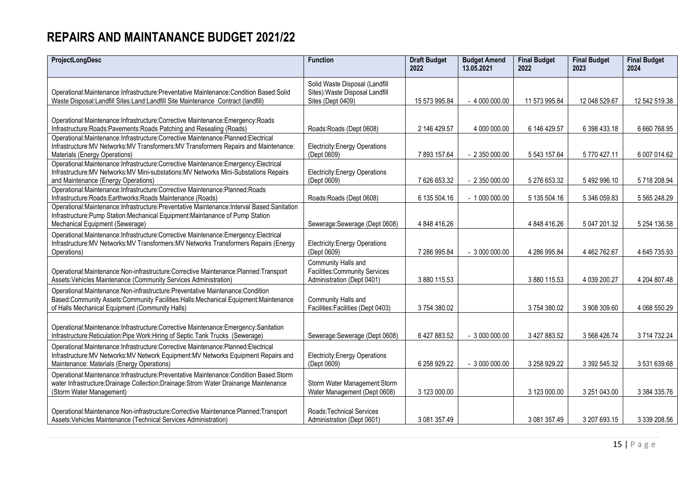# **REPAIRS AND MAINTANANCE BUDGET 2021/22**

| ProjectLongDesc                                                                                                                                                                                                        | <b>Function</b>                                                                           | <b>Draft Budget</b><br>2022 | <b>Budget Amend</b><br>13.05.2021 | <b>Final Budget</b><br>2022 | <b>Final Budget</b><br>2023 | <b>Final Budget</b><br>2024 |
|------------------------------------------------------------------------------------------------------------------------------------------------------------------------------------------------------------------------|-------------------------------------------------------------------------------------------|-----------------------------|-----------------------------------|-----------------------------|-----------------------------|-----------------------------|
| Operational:Maintenance:Infrastructure:Preventative Maintenance:Condition Based:Solid<br>Waste Disposal: Landfill Sites: Land: Landfill Site Maintenance Contract (landfill)                                           | Solid Waste Disposal (Landfill<br>Sites): Waste Disposal Landfill<br>Sites (Dept 0409)    | 15 573 995.84               | $-4000000000$                     | 11 573 995.84               | 12 048 529.67               | 12 542 519.38               |
| Operational:Maintenance:Infrastructure:Corrective Maintenance:Emergency:Roads<br>Infrastructure: Roads: Pavements: Roads Patching and Resealing (Roads)                                                                | Roads: Roads (Dept 0608)                                                                  | 2 146 429.57                | 4 000 000.00                      | 6 146 429.57                | 6 398 433.18                | 6 660 768.95                |
| Operational:Maintenance:Infrastructure:Corrective Maintenance:Planned:Electrical<br>Infrastructure: MV Networks: MV Transformers: MV Transformers Repairs and Maintenance:<br>Materials (Energy Operations)            | <b>Electricity: Energy Operations</b><br>(Dept 0609)                                      | 7893157.64                  | $-2350000.00$                     | 5 543 157.64                | 5770427.11                  | 6 007 014.62                |
| Operational:Maintenance:Infrastructure:Corrective Maintenance:Emergency:Electrical<br>Infrastructure: MV Networks: MV Mini-substations: MV Networks Mini-Substations Repairs<br>and Maintenance (Energy Operations)    | <b>Electricity: Energy Operations</b><br>(Dept 0609)                                      | 7 626 653.32                | $-2350000.00$                     | 5 276 653.32                | 5492996.10                  | 5718208.94                  |
| Operational: Maintenance: Infrastructure: Corrective Maintenance: Planned: Roads<br>Infrastructure:Roads:Earthworks:Roads Maintenance (Roads)                                                                          | Roads:Roads (Dept 0608)                                                                   | 6 135 504.16                | $-1000000000$                     | 5 135 504.16                | 5 346 059.83                | 5 565 248.29                |
| Operational: Maintenance: Infrastructure: Preventative Maintenance: Interval Based: Sanitation<br>Infrastructure: Pump Station: Mechanical Equipment: Maintanance of Pump Station<br>Mechanical Equipment (Sewerage)   | Sewerage: Sewerage (Dept 0608)                                                            | 4 848 416.26                |                                   | 4 848 416.26                | 5 047 201.32                | 5 254 136.58                |
| Operational:Maintenance:Infrastructure:Corrective Maintenance:Emergency:Electrical<br>Infrastructure: MV Networks: MV Transformers: MV Networks Transformers Repairs (Energy<br>Operations)                            | <b>Electricity: Energy Operations</b><br>(Dept 0609)                                      | 7 286 995.84                | $-3000000000$                     | 4 286 995.84                | 4 462 762.67                | 4 645 735.93                |
| Operational:Maintenance:Non-infrastructure:Corrective Maintenance:Planned:Transport<br>Assets: Vehicles Maintenance (Community Services Administration)                                                                | Community Halls and<br><b>Facilities:Community Services</b><br>Administration (Dept 0401) | 3 880 115.53                |                                   | 3 880 115.53                | 4 039 200.27                | 4 204 807.48                |
| Operational:Maintenance:Non-infrastructure:Preventative Maintenance:Condition<br>Based:Community Assets:Community Facilities:Halls:Mechanical Equipment:Maintenance<br>of Halls Mechanical Equipment (Community Halls) | Community Halls and<br>Facilities: Facilities (Dept 0403)                                 | 3754380.02                  |                                   | 3754380.02                  | 3 908 309.60                | 4 068 550.29                |
| Operational:Maintenance:Infrastructure:Corrective Maintenance:Emergency:Sanitation<br>Infrastructure:Reticulation:Pipe Work:Hiring of Septic Tank Trucks (Sewerage)                                                    | Sewerage: Sewerage (Dept 0608)                                                            | 6427883.52                  | $-3000000000$                     | 3 427 883.52                | 3 568 426.74                | 3714732.24                  |
| Operational:Maintenance:Infrastructure:Corrective Maintenance:Planned:Electrical<br>Infrastructure: MV Networks: MV Network Equipment: MV Networks Equipment Repairs and<br>Maintenance: Materials (Energy Operations) | <b>Electricity: Energy Operations</b><br>(Dept 0609)                                      | 6 258 929.22                | $-3000000000$                     | 3 258 929.22                | 3 392 545.32                | 3 531 639.68                |
| Operational:Maintenance:Infrastructure:Preventative Maintenance:Condition Based:Storm<br>water Infrastructure:Drainage Collection:Drainage:Strom Water Drainange Maintenance<br>(Storm Water Management)               | Storm Water Management: Storm<br>Water Management (Dept 0608)                             | 3 123 000.00                |                                   | 3 123 000.00                | 3 251 043.00                | 3 384 335.76                |
| Operational:Maintenance:Non-infrastructure:Corrective Maintenance:Planned:Transport<br>Assets: Vehicles Maintenance (Technical Services Administration)                                                                | Roads: Technical Services<br>Administration (Dept 0601)                                   | 3 081 357.49                |                                   | 3 081 357.49                | 3 207 693.15                | 3 339 208.56                |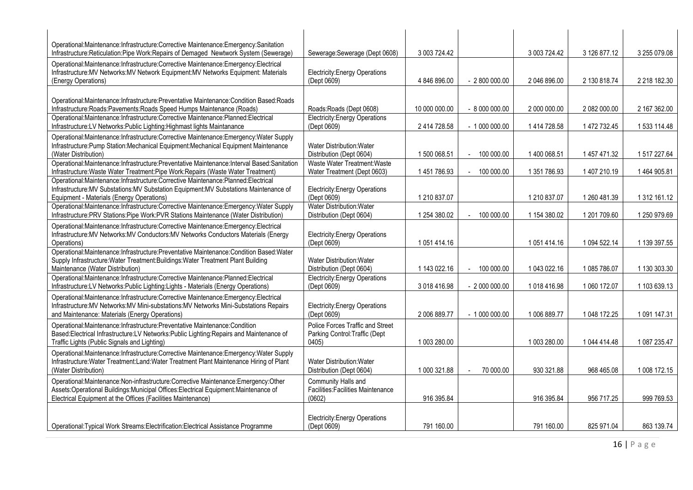| Operational:Maintenance:Infrastructure:Corrective Maintenance:Emergency:Sanitation<br>Infrastructure:Reticulation:Pipe Work:Repairs of Demaged Newtwork System (Sewerage)                                                               | Sewerage: Sewerage (Dept 0608)                                             | 3 003 724.42  |               | 3 003 724.42 | 3 126 877.12 | 3 255 079.08 |
|-----------------------------------------------------------------------------------------------------------------------------------------------------------------------------------------------------------------------------------------|----------------------------------------------------------------------------|---------------|---------------|--------------|--------------|--------------|
| Operational:Maintenance:Infrastructure:Corrective Maintenance:Emergency:Electrical<br>Infrastructure: MV Networks: MV Network Equipment: MV Networks Equipment: Materials<br>(Energy Operations)                                        | <b>Electricity: Energy Operations</b><br>(Dept 0609)                       | 4 846 896.00  | $-280000000$  | 2 046 896.00 | 2 130 818.74 | 2 218 182.30 |
| Operational: Maintenance: Infrastructure: Preventative Maintenance: Condition Based: Roads<br>Infrastructure: Roads: Pavements: Roads Speed Humps Maintenance (Roads)                                                                   | Roads: Roads (Dept 0608)                                                   | 10 000 000.00 | $-8000000000$ | 2 000 000.00 | 2 082 000.00 | 2 167 362.00 |
| Operational:Maintenance:Infrastructure:Corrective Maintenance:Planned:Electrical<br>Infrastructure:LV Networks:Public Lighting:Highmast lights Maintanance                                                                              | <b>Electricity: Energy Operations</b><br>(Dept 0609)                       | 2 414 728.58  | $-1000000.00$ | 1 414 728.58 | 1 472 732.45 | 1 533 114.48 |
| Operational:Maintenance:Infrastructure:Corrective Maintenance:Emergency:Water Supply<br>Infrastructure: Pump Station: Mechanical Equipment: Mechanical Equipment Maintenance<br>(Water Distribution)                                    | Water Distribution: Water<br>Distribution (Dept 0604)                      | 1500 068.51   | $-100000.00$  | 1400 068.51  | 1 457 471.32 | 1517227.64   |
| Operational: Maintenance: Infrastructure: Preventative Maintenance: Interval Based: Sanitation<br>Infrastructure: Waste Water Treatment: Pipe Work: Repairs (Waste Water Treatment)                                                     | Waste Water Treatment: Waste<br>Water Treatment (Dept 0603)                | 1451786.93    | $-100000.00$  | 1 351 786.93 | 1407210.19   | 1464 905.81  |
| Operational:Maintenance:Infrastructure:Corrective Maintenance:Planned:Electrical<br>Infrastructure: MV Substations: MV Substation Equipment: MV Substations Maintenance of<br>Equipment - Materials (Energy Operations)                 | <b>Electricity: Energy Operations</b><br>(Dept 0609)                       | 1 210 837.07  |               | 1 210 837.07 | 1 260 481.39 | 1 312 161.12 |
| Operational:Maintenance:Infrastructure:Corrective Maintenance:Emergency:Water Supply<br>Infrastructure: PRV Stations: Pipe Work: PVR Stations Maintenance (Water Distribution)                                                          | Water Distribution: Water<br>Distribution (Dept 0604)                      | 1 254 380.02  | 100 000.00    | 1 154 380.02 | 1 201 709.60 | 1 250 979.69 |
| Operational:Maintenance:Infrastructure:Corrective Maintenance:Emergency:Electrical<br>Infrastructure: MV Networks: MV Conductors: MV Networks Conductors Materials (Energy<br>Operations)                                               | <b>Electricity: Energy Operations</b><br>(Dept 0609)                       | 1 051 414.16  |               | 1 051 414.16 | 1 094 522.14 | 1 139 397.55 |
| Operational:Maintenance:Infrastructure:Preventative Maintenance:Condition Based:Water<br>Supply Infrastructure: Water Treatment: Buildings: Water Treatment Plant Building<br>Maintenance (Water Distribution)                          | <b>Water Distribution: Water</b><br>Distribution (Dept 0604)               | 1 143 022.16  | 100 000.00    | 1 043 022.16 | 1085786.07   | 1 130 303.30 |
| Operational:Maintenance:Infrastructure:Corrective Maintenance:Planned:Electrical<br>Infrastructure:LV Networks:Public Lighting:Lights - Materials (Energy Operations)                                                                   | <b>Electricity: Energy Operations</b><br>(Dept 0609)                       | 3 018 416.98  | $-2000000000$ | 1018416.98   | 1 060 172.07 | 1 103 639.13 |
| Operational:Maintenance:Infrastructure:Corrective Maintenance:Emergency:Electrical<br>Infrastructure: MV Networks: MV Mini-substations: MV Networks Mini-Substations Repairs<br>and Maintenance: Materials (Energy Operations)          | <b>Electricity: Energy Operations</b><br>(Dept 0609)                       | 2 006 889.77  | $-1000000000$ | 1 006 889.77 | 1 048 172.25 | 1 091 147.31 |
| Operational:Maintenance:Infrastructure:Preventative Maintenance:Condition<br>Based:Electrical Infrastructure:LV Networks:Public Lighting:Repairs and Maintenance of<br>Traffic Lights (Public Signals and Lighting)                     | Police Forces Traffic and Street<br>Parking Control: Traffic (Dept<br>0405 | 1 003 280.00  |               | 1 003 280.00 | 1 044 414.48 | 1 087 235.47 |
| Operational:Maintenance:Infrastructure:Corrective Maintenance:Emergency:Water Supply<br>Infrastructure: Water Treatment: Land: Water Treatment Plant Maintenance Hiring of Plant<br>(Water Distribution)                                | <b>Water Distribution: Water</b><br>Distribution (Dept 0604)               | 1 000 321.88  | 70 000.00     | 930 321.88   | 968 465.08   | 1 008 172.15 |
| Operational:Maintenance:Non-infrastructure:Corrective Maintenance:Emergency:Other<br>Assets:Operational Buildings:Municipal Offices:Electrical Equipment:Maintenance of<br>Electrical Equipment at the Offices (Facilities Maintenance) | Community Halls and<br><b>Facilities: Facilities Maintenance</b><br>(0602) | 916 395.84    |               | 916 395.84   | 956 717.25   | 999 769.53   |
| Operational: Typical Work Streams: Electrification: Electrical Assistance Programme                                                                                                                                                     | <b>Electricity: Energy Operations</b><br>(Dept 0609)                       | 791 160.00    |               | 791 160.00   | 825 971.04   | 863 139.74   |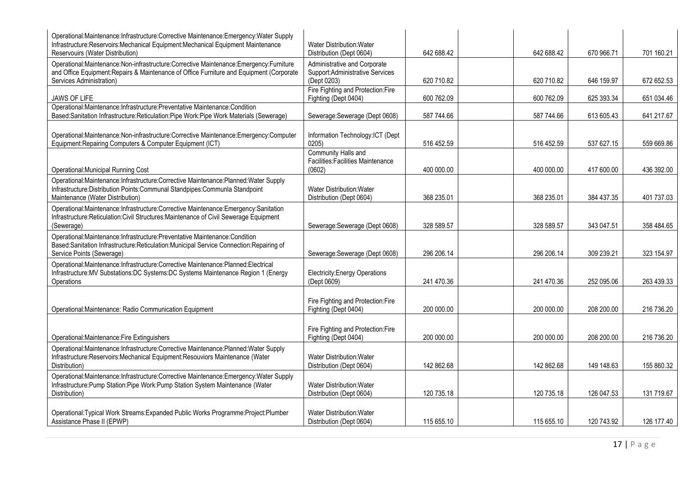| Operational:Maintenance:Infrastructure:Corrective Maintenance:Emergency:Water Supply<br>Infrastructure:Reservoirs:Mechanical Equipment:Mechanical Equipment Maintenance<br>Reservouirs (Water Distribution)   | Water Distribution: Water<br>Distribution (Dept 0604)                           | 642 688.42 | 642 688.42 | 670 966.71 | 701 160.21 |
|---------------------------------------------------------------------------------------------------------------------------------------------------------------------------------------------------------------|---------------------------------------------------------------------------------|------------|------------|------------|------------|
| Operational:Maintenance:Non-infrastructure:Corrective Maintenance:Emergency:Furniture<br>and Office Equipment: Repairs & Maintenance of Office Furniture and Equipment (Corporate<br>Services Administration) | Administrative and Corporate<br>Support: Administrative Services<br>(Dept 0203) | 620 710.82 | 620 710.82 | 646 159.97 | 672 652.53 |
| JAWS OF LIFE                                                                                                                                                                                                  | Fire Fighting and Protection: Fire<br>Fighting (Dept 0404)                      | 600 762.09 | 600 762.09 | 625 393.34 | 651 034.46 |
| Operational:Maintenance:Infrastructure:Preventative Maintenance:Condition<br>Based:Sanitation Infrastructure:Reticulation:Pipe Work:Pipe Work Materials (Sewerage)                                            | Sewerage: Sewerage (Dept 0608)                                                  | 587 744.66 | 587 744.66 | 613 605.43 | 641 217.67 |
| Operational:Maintenance:Non-infrastructure:Corrective Maintenance:Emergency:Computer<br>Equipment: Repairing Computers & Computer Equipment (ICT)                                                             | Information Technology: ICT (Dept<br>0205                                       | 516 452.59 | 516 452.59 | 537 627.15 | 559 669.86 |
| Operational: Municipal Running Cost                                                                                                                                                                           | Community Halls and<br>Facilities: Facilities Maintenance<br>(0602)             | 400 000.00 | 400 000.00 | 417 600.00 | 436 392.00 |
| Operational:Maintenance:Infrastructure:Corrective Maintenance:Planned:Water Supply<br>Infrastructure: Distribution Points: Communal Standpipes: Communla Standpoint<br>Maintenance (Water Distribution)       | Water Distribution: Water<br>Distribution (Dept 0604)                           | 368 235.01 | 368 235.01 | 384 437.35 | 401 737.03 |
| Operational:Maintenance:Infrastructure:Corrective Maintenance:Emergency:Sanitation<br>Infrastructure: Reticulation: Civil Structures: Maintenance of Civil Sewerage Equipment<br>(Sewerage)                   | Sewerage: Sewerage (Dept 0608)                                                  | 328 589.57 | 328 589.57 | 343 047.51 | 358 484.65 |
| Operational:Maintenance:Infrastructure:Preventative Maintenance:Condition<br>Based:Sanitation Infrastructure:Reticulation:Municipal Service Connection:Repairing of<br>Service Points (Sewerage)              | Sewerage: Sewerage (Dept 0608)                                                  | 296 206.14 | 296 206.14 | 309 239.21 | 323 154.97 |
| Operational:Maintenance:Infrastructure:Corrective Maintenance:Planned:Electrical<br>Infrastructure: MV Substations: DC Systems: DC Systems Maintenance Region 1 (Energy<br>Operations                         | <b>Electricity: Energy Operations</b><br>(Dept 0609)                            | 241 470.36 | 241 470.36 | 252 095.06 | 263 439.33 |
| Operational: Maintenance: Radio Communication Equipment                                                                                                                                                       | Fire Fighting and Protection: Fire<br>Fighting (Dept 0404)                      | 200 000.00 | 200 000.00 | 208 200.00 | 216 736.20 |
| Operational: Maintenance: Fire Extinguishers                                                                                                                                                                  | Fire Fighting and Protection: Fire<br>Fighting (Dept 0404)                      | 200 000.00 | 200 000.00 | 208 200.00 | 216 736.20 |
| Operational:Maintenance:Infrastructure:Corrective Maintenance:Planned:Water Supply<br>Infrastructure:Reservoirs:Mechanical Equipment:Resouviors Maintenance (Water<br>Distribution)                           | Water Distribution: Water<br>Distribution (Dept 0604)                           | 142 862.68 | 142 862.68 | 149 148.63 | 155 860.32 |
| Operational:Maintenance:Infrastructure:Corrective Maintenance:Emergency:Water Supply<br>Infrastructure: Pump Station: Pipe Work: Pump Station System Maintenance (Water<br>Distribution)                      | Water Distribution: Water<br>Distribution (Dept 0604)                           | 120 735.18 | 120 735.18 | 126 047.53 | 131 719.67 |
| Operational: Typical Work Streams: Expanded Public Works Programme: Project: Plumber<br>Assistance Phase II (EPWP)                                                                                            | Water Distribution: Water<br>Distribution (Dept 0604)                           | 115 655.10 | 115 655.10 | 120 743.92 | 126 177.40 |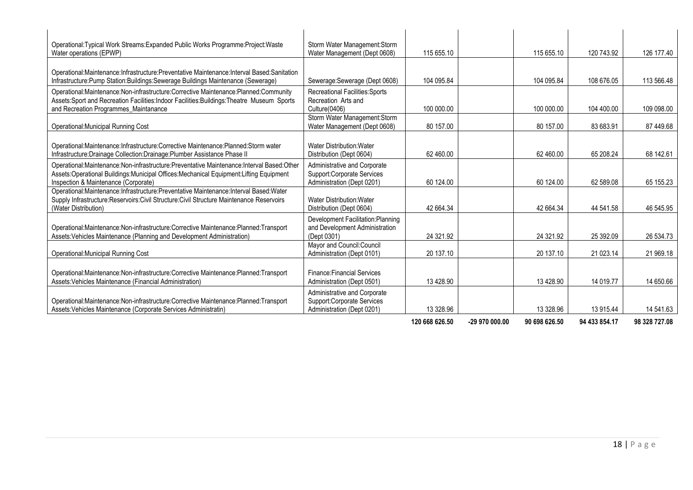| Operational: Typical Work Streams: Expanded Public Works Programme: Project: Waste<br>Water operations (EPWP)                                                                                                                  | Storm Water Management: Storm<br>Water Management (Dept 0608)                            | 115 655.10     |                | 115 655.10    | 120 743.92    | 126 177.40    |
|--------------------------------------------------------------------------------------------------------------------------------------------------------------------------------------------------------------------------------|------------------------------------------------------------------------------------------|----------------|----------------|---------------|---------------|---------------|
| Operational: Maintenance: Infrastructure: Preventative Maintenance: Interval Based: Sanitation<br>Infrastructure: Pump Station: Buildings: Sewerage Buildings Maintenance (Sewerage)                                           | Sewerage: Sewerage (Dept 0608)                                                           | 104 095.84     |                | 104 095.84    | 108 676.05    | 113 566.48    |
| Operational:Maintenance:Non-infrastructure:Corrective Maintenance:Planned:Community<br>Assets:Sport and Recreation Facilities:Indoor Facilities:Buildings:Theatre Museum Sports<br>and Recreation Programmes_Maintanance       | Recreational Facilities: Sports<br>Recreation Arts and<br>Culture(0406)                  | 100 000.00     |                | 100 000.00    | 104 400.00    | 109 098.00    |
| Operational: Municipal Running Cost                                                                                                                                                                                            | Storm Water Management: Storm<br>Water Management (Dept 0608)                            | 80 157.00      |                | 80 157.00     | 83 683.91     | 87 449.68     |
| Operational:Maintenance:Infrastructure:Corrective Maintenance:Planned:Storm water<br>Infrastructure: Drainage Collection: Drainage: Plumber Assistance Phase II                                                                | <b>Water Distribution: Water</b><br>Distribution (Dept 0604)                             | 62 460.00      |                | 62 460.00     | 65 208.24     | 68 142.61     |
| Operational: Maintenance: Non-infrastructure: Preventative Maintenance: Interval Based: Other<br>Assets:Operational Buildings:Municipal Offices:Mechanical Equipment:Lifting Equipment<br>Inspection & Maintenance (Corporate) | Administrative and Corporate<br>Support:Corporate Services<br>Administration (Dept 0201) | 60 124.00      |                | 60 124.00     | 62 589.08     | 65 155.23     |
| Operational:Maintenance:Infrastructure:Preventative Maintenance:Interval Based:Water<br>Supply Infrastructure: Reservoirs: Civil Structure: Civil Structure Maintenance Reservoirs<br>(Water Distribution)                     | <b>Water Distribution: Water</b><br>Distribution (Dept 0604)                             | 42 664.34      |                | 42 664.34     | 44 541.58     | 46 545.95     |
| Operational:Maintenance:Non-infrastructure:Corrective Maintenance:Planned:Transport<br>Assets: Vehicles Maintenance (Planning and Development Administration)                                                                  | Development Facilitation:Planning<br>and Development Administration<br>(Dept 0301)       | 24 321.92      |                | 24 321.92     | 25 392.09     | 26 534.73     |
| Operational: Municipal Running Cost                                                                                                                                                                                            | Mayor and Council: Council<br>Administration (Dept 0101)                                 | 20 137.10      |                | 20 137.10     | 21 023.14     | 21 969.18     |
| Operational:Maintenance:Non-infrastructure:Corrective Maintenance:Planned:Transport<br>Assets: Vehicles Maintenance (Financial Administration)                                                                                 | <b>Finance: Financial Services</b><br>Administration (Dept 0501)                         | 13 4 28.90     |                | 13 428.90     | 14 019.77     | 14 650.66     |
| Operational:Maintenance:Non-infrastructure:Corrective Maintenance:Planned:Transport<br>Assets: Vehicles Maintenance (Corporate Services Administratin)                                                                         | Administrative and Corporate<br>Support:Corporate Services<br>Administration (Dept 0201) | 13 328.96      |                | 13 328.96     | 13 915.44     | 14 541.63     |
|                                                                                                                                                                                                                                |                                                                                          | 120 668 626.50 | -29 970 000.00 | 90 698 626.50 | 94 433 854.17 | 98 328 727.08 |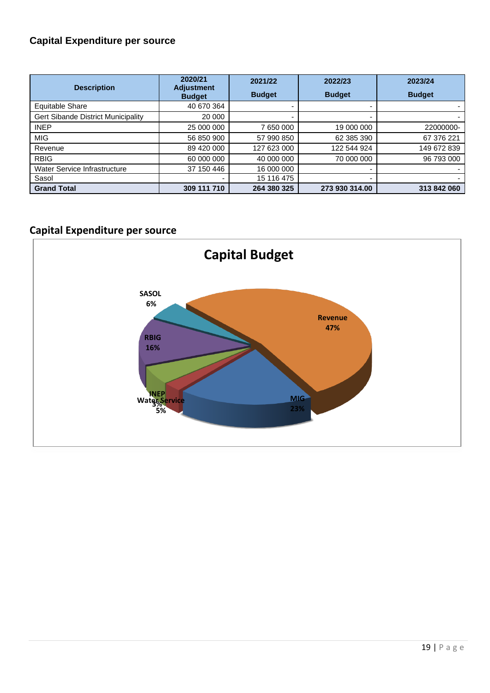# **Capital Expenditure per source**

| <b>Description</b>                 | 2020/21<br><b>Adjustment</b> | 2021/22       | 2022/23        | 2023/24       |
|------------------------------------|------------------------------|---------------|----------------|---------------|
|                                    | <b>Budget</b>                | <b>Budget</b> | <b>Budget</b>  | <b>Budget</b> |
| <b>Equitable Share</b>             | 40 670 364                   |               |                |               |
| Gert Sibande District Municipality | 20 000                       |               |                |               |
| <b>INEP</b>                        | 25 000 000                   | 7 650 000     | 19 000 000     | 22000000-     |
| <b>MIG</b>                         | 56 850 900                   | 57 990 850    | 62 385 390     | 67 376 221    |
| Revenue                            | 89 420 000                   | 127 623 000   | 122 544 924    | 149 672 839   |
| <b>RBIG</b>                        | 60 000 000                   | 40 000 000    | 70 000 000     | 96 793 000    |
| Water Service Infrastructure       | 37 150 446                   | 16 000 000    |                |               |
| Sasol                              |                              | 15 116 475    |                |               |
| <b>Grand Total</b>                 | 309 111 710                  | 264 380 325   | 273 930 314.00 | 313 842 060   |

# **Capital Expenditure per source**

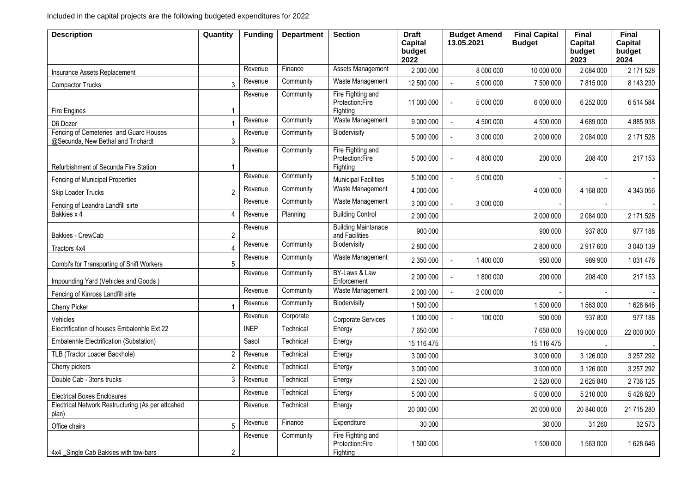| <b>Description</b>                                                           | Quantity                  | <b>Funding</b> | <b>Department</b> | <b>Section</b>                                   | <b>Draft</b><br><b>Capital</b><br>budget<br>2022 | <b>Budget Amend</b><br>13.05.2021 | <b>Final Capital</b><br><b>Budget</b> | <b>Final</b><br><b>Capital</b><br>budget<br>2023 | <b>Final</b><br>Capital<br>budget<br>2024 |
|------------------------------------------------------------------------------|---------------------------|----------------|-------------------|--------------------------------------------------|--------------------------------------------------|-----------------------------------|---------------------------------------|--------------------------------------------------|-------------------------------------------|
| Insurance Assets Replacement                                                 |                           | Revenue        | Finance           | <b>Assets Management</b>                         | 2 000 000                                        | 8 000 000                         | 10 000 000                            | 2 084 000                                        | 2 171 528                                 |
| <b>Compactor Trucks</b>                                                      | 3                         | Revenue        | Community         | Waste Management                                 | 12 500 000                                       | 5 000 000<br>$\sim$               | 7 500 000                             | 7815000                                          | 8 143 230                                 |
| Fire Engines                                                                 | $\overline{\mathbf{1}}$   | Revenue        | Community         | Fire Fighting and<br>Protection:Fire<br>Fighting | 11 000 000                                       | 5 000 000<br>$\sim$               | 6 000 000                             | 6 252 000                                        | 6 514 584                                 |
| D6 Dozer                                                                     | $\overline{1}$            | Revenue        | Community         | Waste Management                                 | 9 000 000                                        | 4 500 000<br>$\overline{a}$       | 4 500 000                             | 4 689 000                                        | 4885938                                   |
| Fencing of Cemeteries and Guard Houses<br>@Secunda, New Bethal and Trichardt | 3                         | Revenue        | Community         | Biodervisity                                     | 5 000 000                                        | 3 000 000<br>$\sim$               | 2 000 000                             | 2 084 000                                        | 2 171 528                                 |
| Refurbishment of Secunda Fire Station                                        |                           | Revenue        | Community         | Fire Fighting and<br>Protection:Fire<br>Fighting | 5 000 000                                        | 4 800 000<br>$\sim$               | 200 000                               | 208 400                                          | 217 153                                   |
| Fencing of Municipal Properties                                              |                           | Revenue        | Community         | <b>Municipal Facilities</b>                      | 5 000 000                                        | 5 000 000<br>$\overline{a}$       |                                       |                                                  |                                           |
| Skip Loader Trucks                                                           | $\overline{2}$            | Revenue        | Community         | Waste Management                                 | 4 000 000                                        |                                   | 4 000 000                             | 4 168 000                                        | 4 343 056                                 |
| Fencing of Leandra Landfill sirte                                            |                           | Revenue        | Community         | Waste Management                                 | 3 000 000                                        | 3 000 000<br>$\sim$               |                                       |                                                  |                                           |
| Bakkies x 4                                                                  | $\boldsymbol{\varLambda}$ | Revenue        | Planning          | <b>Building Control</b>                          | 2 000 000                                        |                                   | 2 000 000                             | 2 084 000                                        | 2 171 528                                 |
| Bakkies - CrewCab                                                            | $\overline{2}$            | Revenue        |                   | <b>Building Maintanace</b><br>and Facilities     | 900 000                                          |                                   | 900 000                               | 937 800                                          | 977 188                                   |
| Tractors 4x4                                                                 |                           | Revenue        | Community         | Biodervisity                                     | 2 800 000                                        |                                   | 2 800 000                             | 2917600                                          | 3 040 139                                 |
| Combi's for Transporting of Shift Workers                                    | 5                         | Revenue        | Community         | Waste Management                                 | 2 350 000                                        | 1400000<br>$\sim$                 | 950 000                               | 989 900                                          | 1031476                                   |
| Impounding Yard (Vehicles and Goods)                                         |                           | Revenue        | Community         | BY-Laws & Law<br>Enforcement                     | 2 000 000                                        | 1800000<br>$\sim$                 | 200 000                               | 208 400                                          | 217 153                                   |
| Fencing of Kinross Landfill sirte                                            |                           | Revenue        | Community         | Waste Management                                 | 2 000 000                                        | $\mathbb{Z}^2$<br>2 000 000       |                                       |                                                  |                                           |
| Cherry Picker                                                                |                           | Revenue        | Community         | Biodervisity                                     | 1 500 000                                        |                                   | 1500000                               | 1563000                                          | 1628646                                   |
| Vehicles                                                                     |                           | Revenue        | Corporate         | Corporate Services                               | 1 000 000                                        | 100 000<br>$\mathbf{r}$           | 900 000                               | 937 800                                          | 977 188                                   |
| Electrification of houses Embalenhle Ext 22                                  |                           | <b>INEP</b>    | Technical         | Energy                                           | 7 650 000                                        |                                   | 7650000                               | 19 000 000                                       | 22 000 000                                |
| Embalenhle Electrification (Substation)                                      |                           | Sasol          | Technical         | Energy                                           | 15 116 475                                       |                                   | 15 116 475                            |                                                  |                                           |
| TLB (Tractor Loader Backhole)                                                | $\overline{c}$            | Revenue        | Technical         | Energy                                           | 3 000 000                                        |                                   | 3 000 000                             | 3 126 000                                        | 3 257 292                                 |
| Cherry pickers                                                               | $\overline{2}$            | Revenue        | Technical         | Energy                                           | 3 000 000                                        |                                   | 3 000 000                             | 3 126 000                                        | 3 257 292                                 |
| Double Cab - 3tons trucks                                                    | 3                         | Revenue        | Technical         | Energy                                           | 2 520 000                                        |                                   | 2 520 000                             | 2625840                                          | 2736125                                   |
| <b>Electrical Boxes Enclosures</b>                                           |                           | Revenue        | Technical         | Energy                                           | 5 000 000                                        |                                   | 5 000 000                             | 5 210 000                                        | 5428820                                   |
| Electrical Network Restructuring (As per attcahed<br>plan)                   |                           | Revenue        | Technical         | Energy                                           | 20 000 000                                       |                                   | 20 000 000                            | 20 840 000                                       | 21 715 280                                |
| Office chairs                                                                | 5                         | Revenue        | Finance           | Expenditure                                      | 30 000                                           |                                   | 30 000                                | 31 260                                           | 32 573                                    |
| 4x4 Single Cab Bakkies with tow-bars                                         | $\overline{c}$            | Revenue        | Community         | Fire Fighting and<br>Protection:Fire<br>Fighting | 1 500 000                                        |                                   | 1 500 000                             | 1 563 000                                        | 1628646                                   |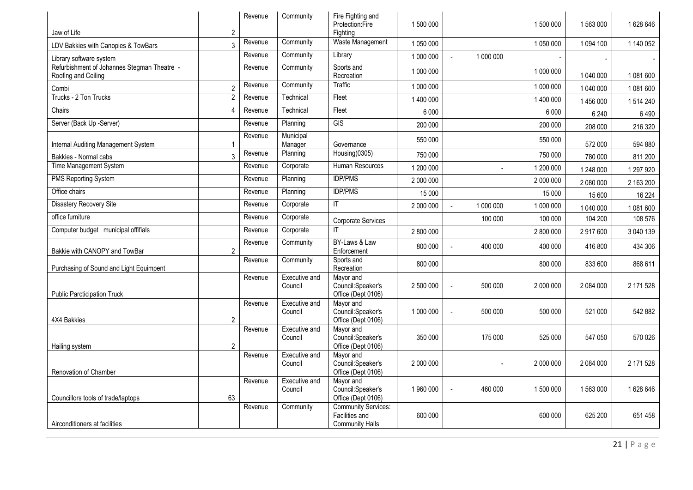| Jaw of Life                                                        | $\overline{2}$ | Revenue | Community                | Fire Fighting and<br>Protection:Fire<br>Fighting                       | 1500000   |                                     | 1 500 000 | 1 563 000 | 1628646   |
|--------------------------------------------------------------------|----------------|---------|--------------------------|------------------------------------------------------------------------|-----------|-------------------------------------|-----------|-----------|-----------|
| LDV Bakkies with Canopies & TowBars                                | 3              | Revenue | Community                | Waste Management                                                       | 1 050 000 |                                     | 1 050 000 | 1 094 100 | 1 140 052 |
| Library software system                                            |                | Revenue | Community                | Library                                                                | 1 000 000 | 1 000 000                           |           |           |           |
| Refurbishment of Johannes Stegman Theatre -<br>Roofing and Ceiling |                | Revenue | Community                | Sports and<br>Recreation                                               | 1 000 000 |                                     | 1 000 000 | 1 040 000 | 1081600   |
| Combi                                                              |                | Revenue | Community                | Traffic                                                                | 1 000 000 |                                     | 1 000 000 | 1 040 000 | 1081600   |
| Trucks - 2 Ton Trucks                                              | $\overline{2}$ | Revenue | Technical                | Fleet                                                                  | 1 400 000 |                                     | 1 400 000 | 1456000   | 1514240   |
| Chairs                                                             | Δ              | Revenue | Technical                | Fleet                                                                  | 6 0 0 0   |                                     | 6000      | 6 2 4 0   | 6490      |
| Server (Back Up -Server)                                           |                | Revenue | Planning                 | GIS                                                                    | 200 000   |                                     | 200 000   | 208 000   | 216 320   |
| Internal Auditing Management System                                |                | Revenue | Municipal<br>Manager     | Governance                                                             | 550 000   |                                     | 550 000   | 572 000   | 594 880   |
| Bakkies - Normal cabs                                              |                | Revenue | Planning                 | Housing(0305)                                                          | 750 000   |                                     | 750 000   | 780 000   | 811 200   |
| Time Management System                                             |                | Revenue | Corporate                | Human Resources                                                        | 1 200 000 |                                     | 1 200 000 | 1 248 000 | 1 297 920 |
| <b>PMS Reporting System</b>                                        |                | Revenue | Planning                 | <b>IDP/PMS</b>                                                         | 2 000 000 |                                     | 2 000 000 | 2 080 000 | 2 163 200 |
| Office chairs                                                      |                | Revenue | Planning                 | <b>IDP/PMS</b>                                                         | 15 000    |                                     | 15 000    | 15 600    | 16 224    |
| <b>Disastery Recovery Site</b>                                     |                | Revenue | Corporate                | $\mathsf{I}$                                                           | 2 000 000 | 1 000 000<br>$\sim$                 | 1 000 000 | 1 040 000 | 1081600   |
| office furniture                                                   |                | Revenue | Corporate                | <b>Corporate Services</b>                                              |           | 100 000                             | 100 000   | 104 200   | 108 576   |
| Computer budget municipal offifials                                |                | Revenue | Corporate                | ΙT                                                                     | 2 800 000 |                                     | 2 800 000 | 2917600   | 3 040 139 |
| Bakkie with CANOPY and TowBar                                      | $\mathfrak{D}$ | Revenue | Community                | BY-Laws & Law<br>Enforcement                                           | 800 000   | 400 000<br>$\overline{a}$           | 400 000   | 416 800   | 434 306   |
| Purchasing of Sound and Light Equimpent                            |                | Revenue | Community                | Sports and<br>Recreation                                               | 800 000   |                                     | 800 000   | 833 600   | 868 611   |
| <b>Public Parcticipation Truck</b>                                 |                | Revenue | Executive and<br>Council | Mayor and<br>Council:Speaker's<br>Office (Dept 0106)                   | 2 500 000 | 500 000<br>$\mathbf{r}$             | 2 000 000 | 2 084 000 | 2 171 528 |
| 4X4 Bakkies                                                        | $\overline{2}$ | Revenue | Executive and<br>Council | Mayor and<br>Council:Speaker's<br>Office (Dept 0106)                   | 1 000 000 | 500 000<br>$\overline{\phantom{a}}$ | 500 000   | 521 000   | 542 882   |
| Hailing system                                                     | $\mathfrak{p}$ | Revenue | Executive and<br>Council | Mayor and<br>Council:Speaker's<br>Office (Dept 0106)                   | 350 000   | 175 000                             | 525 000   | 547 050   | 570 026   |
| Renovation of Chamber                                              |                | Revenue | Executive and<br>Council | Mayor and<br>Council:Speaker's<br>Office (Dept 0106)                   | 2 000 000 |                                     | 2 000 000 | 2 084 000 | 2 171 528 |
| Councillors tools of trade/laptops                                 | 63             | Revenue | Executive and<br>Council | Mayor and<br>Council:Speaker's<br>Office (Dept 0106)                   | 1960000   | 460 000<br>$\overline{\phantom{a}}$ | 1 500 000 | 1563000   | 1628646   |
| Airconditioners at facilities                                      |                | Revenue | Community                | <b>Community Services:</b><br>Facilities and<br><b>Community Halls</b> | 600 000   |                                     | 600 000   | 625 200   | 651458    |
|                                                                    |                |         |                          |                                                                        |           |                                     |           |           |           |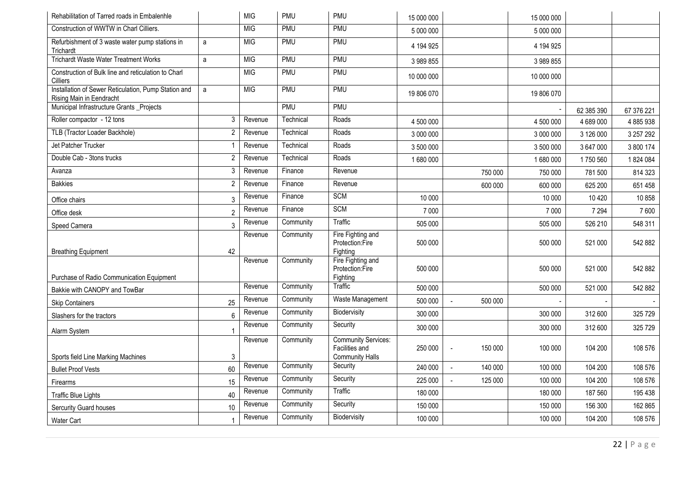| Rehabilitation of Tarred roads in Embalenhle                                     |                         | <b>MIG</b> | PMU        | PMU                                                                    | 15 000 000 |                           | 15 000 000 |            |            |
|----------------------------------------------------------------------------------|-------------------------|------------|------------|------------------------------------------------------------------------|------------|---------------------------|------------|------------|------------|
| Construction of WWTW in Charl Cilliers.                                          |                         | <b>MIG</b> | <b>PMU</b> | <b>PMU</b>                                                             | 5 000 000  |                           | 5 000 000  |            |            |
| Refurbishment of 3 waste water pump stations in<br>Trichardt                     | a                       | <b>MIG</b> | <b>PMU</b> | <b>PMU</b>                                                             | 4 194 925  |                           | 4 194 925  |            |            |
| <b>Trichardt Waste Water Treatment Works</b>                                     | a                       | <b>MIG</b> | <b>PMU</b> | <b>PMU</b>                                                             | 3 989 855  |                           | 3 989 855  |            |            |
| Construction of Bulk line and reticulation to Charl<br>Cilliers                  |                         | <b>MIG</b> | PMU        | PMU                                                                    | 10 000 000 |                           | 10 000 000 |            |            |
| Installation of Sewer Reticulation, Pump Station and<br>Rising Main in Eendracht | a                       | <b>MIG</b> | <b>PMU</b> | <b>PMU</b>                                                             | 19 806 070 |                           | 19 806 070 |            |            |
| Municipal Infrastructure Grants _Projects                                        |                         |            | <b>PMU</b> | <b>PMU</b>                                                             |            |                           |            | 62 385 390 | 67 376 221 |
| Roller compactor - 12 tons                                                       | 3                       | Revenue    | Technical  | Roads                                                                  | 4 500 000  |                           | 4 500 000  | 4 689 000  | 4885938    |
| TLB (Tractor Loader Backhole)                                                    | $\overline{2}$          | Revenue    | Technical  | Roads                                                                  | 3 000 000  |                           | 3 000 000  | 3 126 000  | 3 257 292  |
| Jet Patcher Trucker                                                              | $\overline{\mathbf{1}}$ | Revenue    | Technical  | Roads                                                                  | 3 500 000  |                           | 3 500 000  | 3 647 000  | 3800174    |
| Double Cab - 3tons trucks                                                        | $\overline{2}$          | Revenue    | Technical  | Roads                                                                  | 1680000    |                           | 1680000    | 1750 560   | 1824084    |
| Avanza                                                                           | 3                       | Revenue    | Finance    | Revenue                                                                |            | 750 000                   | 750 000    | 781 500    | 814 323    |
| Bakkies                                                                          | $\overline{2}$          | Revenue    | Finance    | Revenue                                                                |            | 600 000                   | 600 000    | 625 200    | 651 458    |
| Office chairs                                                                    | $\overline{3}$          | Revenue    | Finance    | <b>SCM</b>                                                             | 10 000     |                           | 10 000     | 10 4 20    | 10 858     |
| Office desk                                                                      | $\overline{2}$          | Revenue    | Finance    | <b>SCM</b>                                                             | 7 0 0 0    |                           | 7000       | 7 2 9 4    | 7600       |
| Speed Camera                                                                     | 3                       | Revenue    | Community  | Traffic                                                                | 505 000    |                           | 505 000    | 526 210    | 548 311    |
| <b>Breathing Equipment</b>                                                       | 42                      | Revenue    | Community  | Fire Fighting and<br>Protection:Fire<br>Fighting                       | 500 000    |                           | 500 000    | 521 000    | 542 882    |
| Purchase of Radio Communication Equipment                                        |                         | Revenue    | Community  | Fire Fighting and<br>Protection:Fire<br>Fighting                       | 500 000    |                           | 500 000    | 521 000    | 542 882    |
| Bakkie with CANOPY and TowBar                                                    |                         | Revenue    | Community  | Traffic                                                                | 500 000    |                           | 500 000    | 521 000    | 542 882    |
| <b>Skip Containers</b>                                                           | 25                      | Revenue    | Community  | Waste Management                                                       | 500 000    | 500 000<br>$\overline{a}$ |            |            |            |
| Slashers for the tractors                                                        | 6                       | Revenue    | Community  | Biodervisity                                                           | 300 000    |                           | 300 000    | 312 600    | 325 729    |
| Alarm System                                                                     |                         | Revenue    | Community  | Security                                                               | 300 000    |                           | 300 000    | 312 600    | 325 729    |
| Sports field Line Marking Machines                                               | 3                       | Revenue    | Community  | <b>Community Services:</b><br>Facilities and<br><b>Community Halls</b> | 250 000    | 150 000<br>$\blacksquare$ | 100 000    | 104 200    | 108 576    |
| <b>Bullet Proof Vests</b>                                                        | 60                      | Revenue    | Community  | Security                                                               | 240 000    | 140 000<br>$\overline{a}$ | 100 000    | 104 200    | 108 576    |
| Firearms                                                                         | 15                      | Revenue    | Community  | Security                                                               | 225 000    | 125 000                   | 100 000    | 104 200    | 108 576    |
| <b>Traffic Blue Lights</b>                                                       | 40                      | Revenue    | Community  | Traffic                                                                | 180 000    |                           | 180 000    | 187 560    | 195 438    |
| <b>Sercurity Guard houses</b>                                                    | 10                      | Revenue    | Community  | Security                                                               | 150 000    |                           | 150 000    | 156 300    | 162 865    |
| Water Cart                                                                       |                         | Revenue    | Community  | Biodervisity                                                           | 100 000    |                           | 100 000    | 104 200    | 108 576    |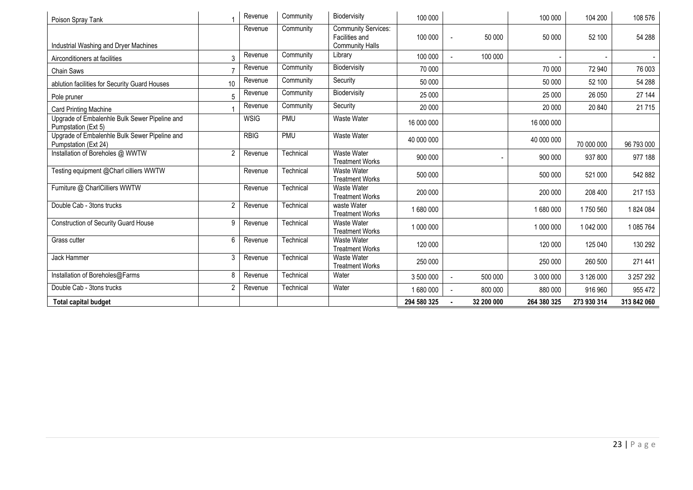| Poison Spray Tank                                                     |                | Revenue     | Community  | Biodervisity                                                           | 100 000     |                                    | 100 000     | 104 200     | 108 576     |
|-----------------------------------------------------------------------|----------------|-------------|------------|------------------------------------------------------------------------|-------------|------------------------------------|-------------|-------------|-------------|
| Industrial Washing and Dryer Machines                                 |                | Revenue     | Community  | <b>Community Services:</b><br>Facilities and<br><b>Community Halls</b> | 100 000     | 50 000<br>$\overline{\phantom{a}}$ | 50 000      | 52 100      | 54 288      |
| Airconditioners at facilities                                         | 3              | Revenue     | Community  | Library                                                                | 100 000     | 100 000<br>$\sim$                  |             |             |             |
| Chain Saws                                                            |                | Revenue     | Community  | Biodervisity                                                           | 70 000      |                                    | 70 000      | 72 940      | 76 003      |
| ablution facilities for Security Guard Houses                         | 10             | Revenue     | Community  | Security                                                               | 50 000      |                                    | 50 000      | 52 100      | 54 288      |
| Pole pruner                                                           | 5              | Revenue     | Community  | Biodervisity                                                           | 25 000      |                                    | 25 000      | 26 050      | 27 144      |
| <b>Card Printing Machine</b>                                          |                | Revenue     | Community  | Security                                                               | 20 000      |                                    | 20 000      | 20 840      | 21715       |
| Upgrade of Embalenhle Bulk Sewer Pipeline and<br>Pumpstation (Ext 5)  |                | <b>WSIG</b> | <b>PMU</b> | Waste Water                                                            | 16 000 000  |                                    | 16 000 000  |             |             |
| Upgrade of Embalenhle Bulk Sewer Pipeline and<br>Pumpstation (Ext 24) |                | <b>RBIG</b> | <b>PMU</b> | <b>Waste Water</b>                                                     | 40 000 000  |                                    | 40 000 000  | 70 000 000  | 96 793 000  |
| Installation of Boreholes @ WWTW                                      | $\overline{2}$ | Revenue     | Technical  | <b>Waste Water</b><br><b>Treatment Works</b>                           | 900 000     |                                    | 900 000     | 937 800     | 977 188     |
| Testing equipment @Charl cilliers WWTW                                |                | Revenue     | Technical  | Waste Water<br><b>Treatment Works</b>                                  | 500 000     |                                    | 500 000     | 521 000     | 542 882     |
| Furniture @ CharlCilliers WWTW                                        |                | Revenue     | Technical  | <b>Waste Water</b><br><b>Treatment Works</b>                           | 200 000     |                                    | 200 000     | 208 400     | 217 153     |
| Double Cab - 3tons trucks                                             | 2              | Revenue     | Technical  | waste Water<br><b>Treatment Works</b>                                  | 1680000     |                                    | 1680000     | 1750 560    | 1824 084    |
| <b>Construction of Security Guard House</b>                           | 9              | Revenue     | Technical  | Waste Water<br><b>Treatment Works</b>                                  | 1 000 000   |                                    | 1 000 000   | 1 042 000   | 1085764     |
| Grass cutter                                                          | 6              | Revenue     | Technical  | <b>Waste Water</b><br><b>Treatment Works</b>                           | 120 000     |                                    | 120 000     | 125 040     | 130 292     |
| <b>Jack Hammer</b>                                                    | 3              | Revenue     | Technical  | <b>Waste Water</b><br><b>Treatment Works</b>                           | 250 000     |                                    | 250 000     | 260 500     | 271 441     |
| Installation of Boreholes@Farms                                       | 8              | Revenue     | Technical  | Water                                                                  | 3 500 000   | 500 000                            | 3 000 000   | 3 126 000   | 3 257 292   |
| Double Cab - 3tons trucks                                             | $\overline{2}$ | Revenue     | Technical  | Water                                                                  | 1680000     | 800 000                            | 880 000     | 916 960     | 955 472     |
| <b>Total capital budget</b>                                           |                |             |            |                                                                        | 294 580 325 | 32 200 000                         | 264 380 325 | 273 930 314 | 313 842 060 |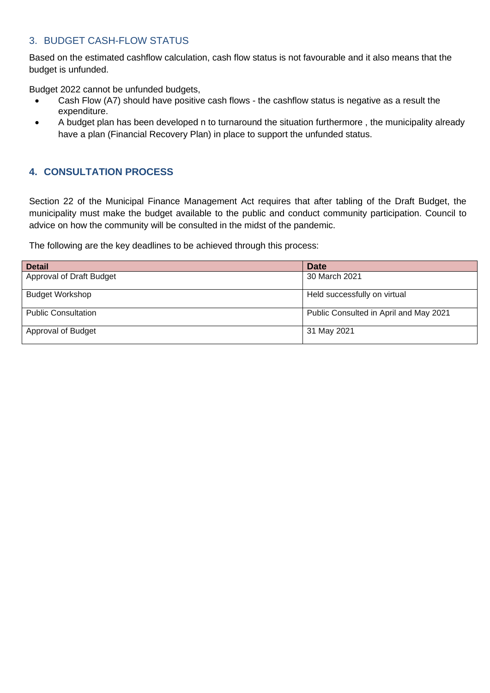# <span id="page-24-0"></span>3. BUDGET CASH-FLOW STATUS

Based on the estimated cashflow calculation, cash flow status is not favourable and it also means that the budget is unfunded.

Budget 2022 cannot be unfunded budgets,

- Cash Flow (A7) should have positive cash flows the cashflow status is negative as a result the expenditure.
- A budget plan has been developed n to turnaround the situation furthermore , the municipality already have a plan (Financial Recovery Plan) in place to support the unfunded status.

# <span id="page-24-1"></span>**4. CONSULTATION PROCESS**

Section 22 of the Municipal Finance Management Act requires that after tabling of the Draft Budget, the municipality must make the budget available to the public and conduct community participation. Council to advice on how the community will be consulted in the midst of the pandemic.

The following are the key deadlines to be achieved through this process:

| <b>Detail</b>              | <b>Date</b>                            |
|----------------------------|----------------------------------------|
| Approval of Draft Budget   | 30 March 2021                          |
| <b>Budget Workshop</b>     | Held successfully on virtual           |
| <b>Public Consultation</b> | Public Consulted in April and May 2021 |
| Approval of Budget         | 31 May 2021                            |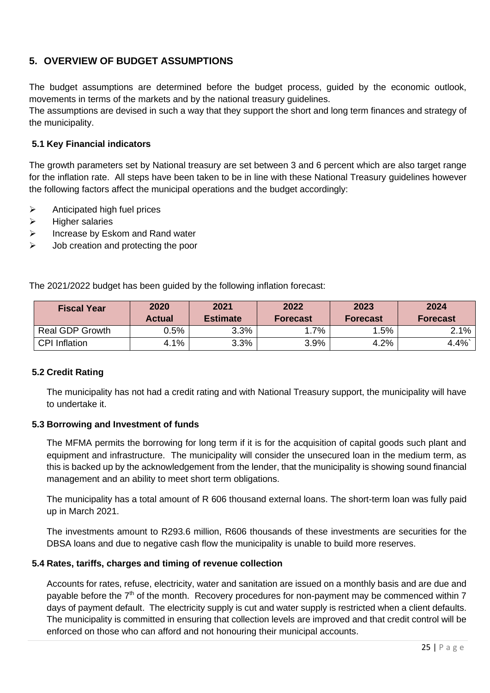# <span id="page-25-0"></span>**5. OVERVIEW OF BUDGET ASSUMPTIONS**

The budget assumptions are determined before the budget process, guided by the economic outlook, movements in terms of the markets and by the national treasury guidelines.

The assumptions are devised in such a way that they support the short and long term finances and strategy of the municipality.

## <span id="page-25-1"></span>**5.1 Key Financial indicators**

The growth parameters set by National treasury are set between 3 and 6 percent which are also target range for the inflation rate. All steps have been taken to be in line with these National Treasury guidelines however the following factors affect the municipal operations and the budget accordingly:

- $\triangleright$  Anticipated high fuel prices
- ➢ Higher salaries
- ➢ Increase by Eskom and Rand water
- $\triangleright$  Job creation and protecting the poor

The 2021/2022 budget has been guided by the following inflation forecast:

| <b>Fiscal Year</b>     | 2020<br><b>Actual</b> | 2021<br><b>Estimate</b> | 2022<br><b>Forecast</b> | 2023<br><b>Forecast</b> | 2024<br><b>Forecast</b> |
|------------------------|-----------------------|-------------------------|-------------------------|-------------------------|-------------------------|
| <b>Real GDP Growth</b> | $0.5\%$               | 3.3%                    | $.7\%$                  | 1.5%                    | 2.1%                    |
| <b>CPI</b> Inflation   | 4.1%                  | 3.3%                    | 3.9%                    | 4.2%                    | 4.4%                    |

## <span id="page-25-2"></span>**5.2 Credit Rating**

The municipality has not had a credit rating and with National Treasury support, the municipality will have to undertake it.

#### <span id="page-25-3"></span>**5.3 Borrowing and Investment of funds**

The MFMA permits the borrowing for long term if it is for the acquisition of capital goods such plant and equipment and infrastructure. The municipality will consider the unsecured loan in the medium term, as this is backed up by the acknowledgement from the lender, that the municipality is showing sound financial management and an ability to meet short term obligations.

The municipality has a total amount of R 606 thousand external loans. The short-term loan was fully paid up in March 2021.

The investments amount to R293.6 million, R606 thousands of these investments are securities for the DBSA loans and due to negative cash flow the municipality is unable to build more reserves.

#### <span id="page-25-4"></span>**5.4 Rates, tariffs, charges and timing of revenue collection**

Accounts for rates, refuse, electricity, water and sanitation are issued on a monthly basis and are due and payable before the 7<sup>th</sup> of the month. Recovery procedures for non-payment may be commenced within 7 days of payment default. The electricity supply is cut and water supply is restricted when a client defaults. The municipality is committed in ensuring that collection levels are improved and that credit control will be enforced on those who can afford and not honouring their municipal accounts.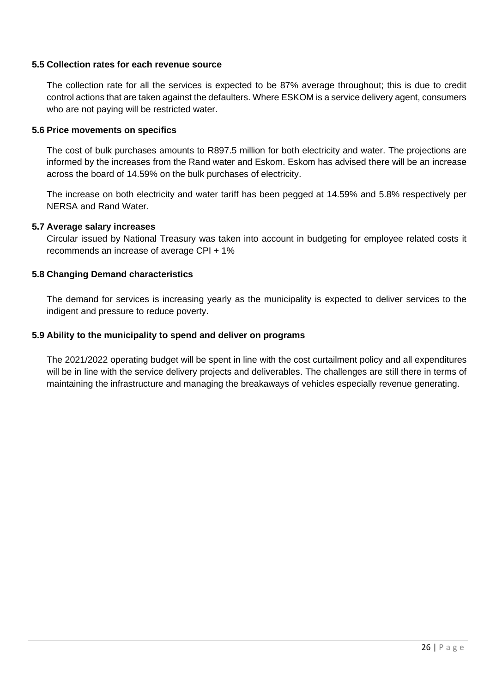#### <span id="page-26-0"></span>**5.5 Collection rates for each revenue source**

The collection rate for all the services is expected to be 87% average throughout; this is due to credit control actions that are taken against the defaulters. Where ESKOM is a service delivery agent, consumers who are not paying will be restricted water.

#### <span id="page-26-1"></span>**5.6 Price movements on specifics**

The cost of bulk purchases amounts to R897.5 million for both electricity and water. The projections are informed by the increases from the Rand water and Eskom. Eskom has advised there will be an increase across the board of 14.59% on the bulk purchases of electricity.

The increase on both electricity and water tariff has been pegged at 14.59% and 5.8% respectively per NERSA and Rand Water.

#### <span id="page-26-2"></span>**5.7 Average salary increases**

Circular issued by National Treasury was taken into account in budgeting for employee related costs it recommends an increase of average CPI + 1%

#### <span id="page-26-3"></span>**5.8 Changing Demand characteristics**

The demand for services is increasing yearly as the municipality is expected to deliver services to the indigent and pressure to reduce poverty.

#### <span id="page-26-4"></span>**5.9 Ability to the municipality to spend and deliver on programs**

The 2021/2022 operating budget will be spent in line with the cost curtailment policy and all expenditures will be in line with the service delivery projects and deliverables. The challenges are still there in terms of maintaining the infrastructure and managing the breakaways of vehicles especially revenue generating.